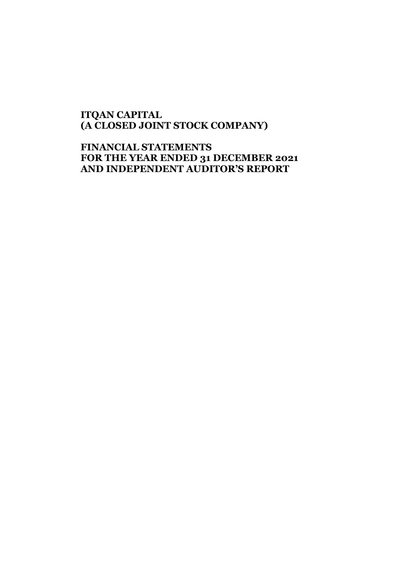# **ITQAN CAPITAL (A CLOSED JOINT STOCK COMPANY)**

**FINANCIAL STATEMENTS FOR THE YEAR ENDED 31 DECEMBER 2021 AND INDEPENDENT AUDITOR'S REPORT**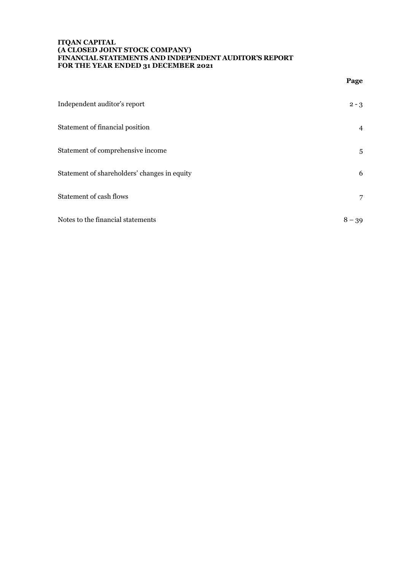# **ITQAN CAPITAL (A CLOSED JOINT STOCK COMPANY) FINANCIAL STATEMENTS AND INDEPENDENT AUDITOR'S REPORT FOR THE YEAR ENDED 31 DECEMBER 2021**

| Independent auditor's report                 | $2 - 3$        |
|----------------------------------------------|----------------|
| Statement of financial position              | $\overline{4}$ |
| Statement of comprehensive income            | 5              |
| Statement of shareholders' changes in equity | 6              |
| Statement of cash flows                      | 7              |
| Notes to the financial statements            | $8 - 39$       |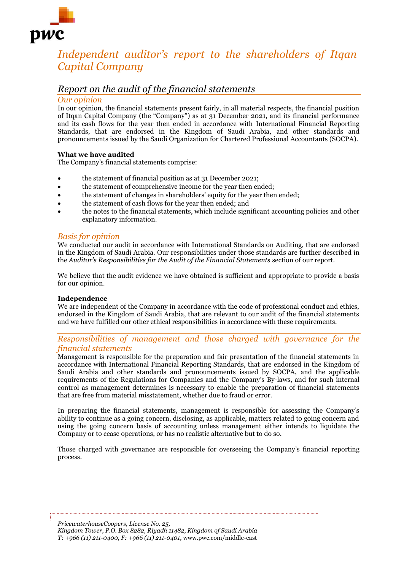

# *Independent auditor's report to the shareholders of Itqan Capital Company*

# *Report on the audit of the financial statements*

# *Our opinion*

In our opinion, the financial statements present fairly, in all material respects, the financial position of Itqan Capital Company (the "Company") as at 31 December 2021, and its financial performance and its cash flows for the year then ended in accordance with International Financial Reporting Standards, that are endorsed in the Kingdom of Saudi Arabia, and other standards and pronouncements issued by the Saudi Organization for Chartered Professional Accountants (SOCPA).

# **What we have audited**

The Company's financial statements comprise:

- the statement of financial position as at 31 December 2021;
- the statement of comprehensive income for the year then ended;
- the statement of changes in shareholders' equity for the year then ended;
- the statement of cash flows for the year then ended; and
- the notes to the financial statements, which include significant accounting policies and other explanatory information.

# *Basis for opinion*

We conducted our audit in accordance with International Standards on Auditing, that are endorsed in the Kingdom of Saudi Arabia. Our responsibilities under those standards are further described in the *Auditor's Responsibilities for the Audit of the Financial Statements* section of our report.

We believe that the audit evidence we have obtained is sufficient and appropriate to provide a basis for our opinion.

# **Independence**

We are independent of the Company in accordance with the code of professional conduct and ethics, endorsed in the Kingdom of Saudi Arabia, that are relevant to our audit of the financial statements and we have fulfilled our other ethical responsibilities in accordance with these requirements.

# *Responsibilities of management and those charged with governance for the financial statements*

Management is responsible for the preparation and fair presentation of the financial statements in accordance with International Financial Reporting Standards, that are endorsed in the Kingdom of Saudi Arabia and other standards and pronouncements issued by SOCPA, and the applicable requirements of the Regulations for Companies and the Company's By-laws, and for such internal control as management determines is necessary to enable the preparation of financial statements that are free from material misstatement, whether due to fraud or error.

In preparing the financial statements, management is responsible for assessing the Company's ability to continue as a going concern, disclosing, as applicable, matters related to going concern and using the going concern basis of accounting unless management either intends to liquidate the Company or to cease operations, or has no realistic alternative but to do so.

Those charged with governance are responsible for overseeing the Company's financial reporting process.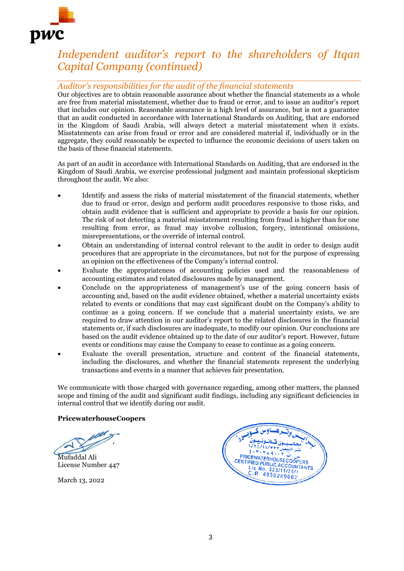

# *Independent auditor's report to the shareholders of Itqan Capital Company (continued)*

# *Auditor's responsibilities for the audit of the financial statements*

Our objectives are to obtain reasonable assurance about whether the financial statements as a whole are free from material misstatement, whether due to fraud or error, and to issue an auditor's report that includes our opinion. Reasonable assurance is a high level of assurance, but is not a guarantee that an audit conducted in accordance with International Standards on Auditing, that are endorsed in the Kingdom of Saudi Arabia, will always detect a material misstatement when it exists. Misstatements can arise from fraud or error and are considered material if, individually or in the aggregate, they could reasonably be expected to influence the economic decisions of users taken on the basis of these financial statements.

As part of an audit in accordance with International Standards on Auditing, that are endorsed in the Kingdom of Saudi Arabia, we exercise professional judgment and maintain professional skepticism throughout the audit. We also:

- Identify and assess the risks of material misstatement of the financial statements, whether due to fraud or error, design and perform audit procedures responsive to those risks, and obtain audit evidence that is sufficient and appropriate to provide a basis for our opinion. The risk of not detecting a material misstatement resulting from fraud is higher than for one resulting from error, as fraud may involve collusion, forgery, intentional omissions, misrepresentations, or the override of internal control.
- Obtain an understanding of internal control relevant to the audit in order to design audit procedures that are appropriate in the circumstances, but not for the purpose of expressing an opinion on the effectiveness of the Company's internal control.
- Evaluate the appropriateness of accounting policies used and the reasonableness of accounting estimates and related disclosures made by management.
- Conclude on the appropriateness of management's use of the going concern basis of accounting and, based on the audit evidence obtained, whether a material uncertainty exists related to events or conditions that may cast significant doubt on the Company's ability to continue as a going concern. If we conclude that a material uncertainty exists, we are required to draw attention in our auditor's report to the related disclosures in the financial statements or, if such disclosures are inadequate, to modify our opinion. Our conclusions are based on the audit evidence obtained up to the date of our auditor's report. However, future events or conditions may cause the Company to cease to continue as a going concern.
- Evaluate the overall presentation, structure and content of the financial statements, including the disclosures, and whether the financial statements represent the underlying transactions and events in a manner that achieves fair presentation.

We communicate with those charged with governance regarding, among other matters, the planned scope and timing of the audit and significant audit findings, including any significant deficiencies in internal control that we identify during our audit.

# **PricewaterhouseCoopers**

Mufaddal Ali License Number 447

March 13, 2022

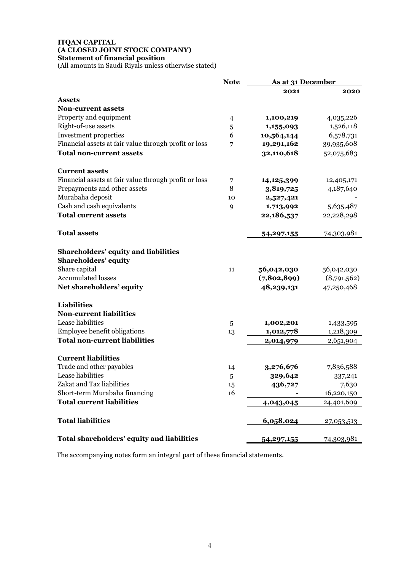# **ITQAN CAPITAL (A CLOSED JOINT STOCK COMPANY) Statement of financial position**

(All amounts in Saudi Riyals unless otherwise stated)

|                                                       | <b>Note</b>    | As at 31 December |             |
|-------------------------------------------------------|----------------|-------------------|-------------|
|                                                       |                | 2021              | 2020        |
| <b>Assets</b>                                         |                |                   |             |
| <b>Non-current assets</b>                             |                |                   |             |
| Property and equipment                                | $\overline{4}$ | 1,100,219         | 4,035,226   |
| Right-of-use assets                                   | 5              | 1,155,093         | 1,526,118   |
| Investment properties                                 | 6              | 10,564,144        | 6,578,731   |
| Financial assets at fair value through profit or loss | 7              | 19,291,162        | 39,935,608  |
| <b>Total non-current assets</b>                       |                | 32,110,618        | 52,075,683  |
| <b>Current assets</b>                                 |                |                   |             |
| Financial assets at fair value through profit or loss | 7              | 14,125,399        | 12,405,171  |
| Prepayments and other assets                          | 8              | 3,819,725         | 4,187,640   |
| Murabaha deposit                                      | 10             | 2,527,421         |             |
| Cash and cash equivalents                             | 9              | 1,713,992         | 5,635,487   |
| <b>Total current assets</b>                           |                | 22,186,537        | 22,228,298  |
| <b>Total assets</b>                                   |                | 54,297,155        | 74,303,981  |
|                                                       |                |                   |             |
| Shareholders' equity and liabilities                  |                |                   |             |
| Shareholders' equity                                  |                |                   |             |
| Share capital                                         | 11             | 56,042,030        | 56,042,030  |
| <b>Accumulated losses</b>                             |                | (7, 802, 899)     | (8,791,562) |
| Net shareholders' equity                              |                | 48,239,131        | 47,250,468  |
| <b>Liabilities</b>                                    |                |                   |             |
| <b>Non-current liabilities</b>                        |                |                   |             |
| Lease liabilities                                     | 5              | 1,002,201         | 1,433,595   |
| Employee benefit obligations                          | 13             | 1,012,778         | 1,218,309   |
| <b>Total non-current liabilities</b>                  |                | 2,014,979         | 2,651,904   |
| <b>Current liabilities</b>                            |                |                   |             |
| Trade and other payables                              | 14             | 3,276,676         | 7,836,588   |
| Lease liabilities                                     | 5              | 329,642           | 337,241     |
| Zakat and Tax liabilities                             | 15             | 436,727           | 7,630       |
| Short-term Murabaha financing                         | 16             |                   | 16,220,150  |
| <b>Total current liabilities</b>                      |                | 4,043,045         | 24,401,609  |
| <b>Total liabilities</b>                              |                | 6,058,024         | 27,053,513  |
|                                                       |                |                   |             |
| Total shareholders' equity and liabilities            |                | 54,297,155        | 74,303,981  |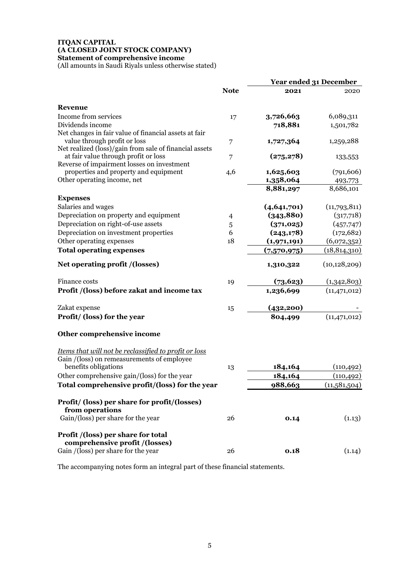# **ITQAN CAPITAL (A CLOSED JOINT STOCK COMPANY) Statement of comprehensive income**

(All amounts in Saudi Riyals unless otherwise stated)

|                                                                                     |                          |             | Year ended 31 December |
|-------------------------------------------------------------------------------------|--------------------------|-------------|------------------------|
|                                                                                     | <b>Note</b>              | 2021        | 2020                   |
| Revenue                                                                             |                          |             |                        |
| Income from services                                                                | 17                       | 3,726,663   | 6,089,311              |
| Dividends income                                                                    |                          | 718,881     | 1,501,782              |
| Net changes in fair value of financial assets at fair                               |                          |             |                        |
| value through profit or loss                                                        | 7                        | 1,727,364   | 1,259,288              |
| Net realized (loss)/gain from sale of financial assets                              |                          |             |                        |
| at fair value through profit or loss                                                | 7                        | (275, 278)  | 133,553                |
| Reverse of impairment losses on investment<br>properties and property and equipment |                          | 1,625,603   | (791, 606)             |
| Other operating income, net                                                         | 4,6                      | 1,358,064   |                        |
|                                                                                     |                          | 8,881,297   | 493,773<br>8,686,101   |
|                                                                                     |                          |             |                        |
| <b>Expenses</b>                                                                     |                          |             |                        |
| Salaries and wages                                                                  |                          | (4,641,701) | (11,793,811)           |
| Depreciation on property and equipment                                              | $\overline{\mathcal{A}}$ | (343, 880)  | (317,718)              |
| Depreciation on right-of-use assets                                                 | 5<br>6                   | (371, 025)  | (457,747)              |
| Depreciation on investment properties                                               |                          | (243, 178)  | (172, 682)             |
| Other operating expenses                                                            | 18                       | (1,971,191) | (6,072,352)            |
| <b>Total operating expenses</b>                                                     |                          | (7,570,975) | (18, 814, 310)         |
| Net operating profit /(losses)                                                      |                          | 1,310,322   | (10, 128, 209)         |
| Finance costs                                                                       | 19                       | (73, 623)   | (1,342,803)            |
| Profit /(loss) before zakat and income tax                                          |                          | 1,236,699   | (11, 471, 012)         |
| Zakat expense                                                                       | 15                       | (432, 200)  |                        |
| Profit/ (loss) for the year                                                         |                          | 804,499     | (11, 471, 012)         |
| Other comprehensive income                                                          |                          |             |                        |
| Items that will not be reclassified to profit or loss                               |                          |             |                        |
| Gain /(loss) on remeasurements of employee                                          |                          |             |                        |
| benefits obligations                                                                | 13                       | 184,164     | (110, 492)             |
| Other comprehensive gain/(loss) for the year                                        |                          | 184,164     | (110, 492)             |
| Total comprehensive profit/(loss) for the year                                      |                          | 988,663     | (11,581,504)           |
| Profit/(loss) per share for profit/(losses)<br>from operations                      |                          |             |                        |
| Gain/(loss) per share for the year                                                  | 26                       | 0.14        | (1.13)                 |
| Profit /(loss) per share for total<br>comprehensive profit /(losses)                |                          |             |                        |
| Gain /(loss) per share for the year                                                 | 26                       | 0.18        | (1.14)                 |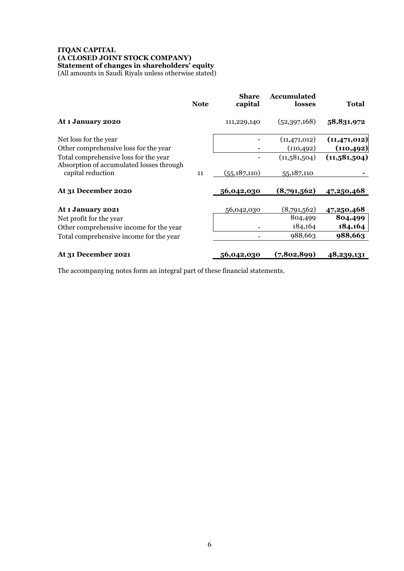# **ITQAN CAPITAL (A CLOSED JOINT STOCK COMPANY) Statement of changes in shareholders' equity**  (All amounts in Saudi Riyals unless otherwise stated)

|                                                                                   | <b>Note</b> | <b>Share</b><br>capital | <b>Accumulated</b><br>losses | <b>Total</b>   |
|-----------------------------------------------------------------------------------|-------------|-------------------------|------------------------------|----------------|
| At 1 January 2020                                                                 |             | 111,229,140             | (52,397,168)                 | 58,831,972     |
| Net loss for the year                                                             |             |                         | (11, 471, 012)               | (11, 471, 012) |
| Other comprehensive loss for the year                                             |             |                         | (110, 492)                   | (110, 492)     |
| Total comprehensive loss for the year<br>Absorption of accumulated losses through |             |                         | (11,581,504)                 | (11,581,504)   |
| capital reduction                                                                 | 11          | (55, 187, 110)          | 55, 187, 110                 |                |
| At 31 December 2020                                                               |             | 56,042,030              | (8,791,562)                  | 47,250,468     |
| At 1 January 2021                                                                 |             | 56,042,030              | (8,791,562)                  | 47,250,468     |
| Net profit for the year                                                           |             |                         | 804,499                      | 804,499        |
| Other comprehensive income for the year                                           |             |                         | 184,164                      | 184,164        |
| Total comprehensive income for the year                                           |             |                         | 988,663                      | 988,663        |
| At 31 December 2021                                                               |             | 56,042,030              | (7,802,899)                  | 48,239,131     |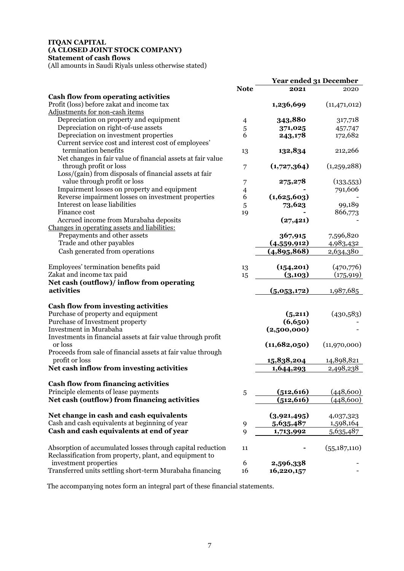# **ITQAN CAPITAL (A CLOSED JOINT STOCK COMPANY) Statement of cash flows**

(All amounts in Saudi Riyals unless otherwise stated)

|                                                              |                | Year ended 31 December |                |
|--------------------------------------------------------------|----------------|------------------------|----------------|
|                                                              | <b>Note</b>    | 2021                   | 2020           |
| <b>Cash flow from operating activities</b>                   |                |                        |                |
| Profit (loss) before zakat and income tax                    |                | 1,236,699              | (11, 471, 012) |
| Adjustments for non-cash items                               |                |                        |                |
| Depreciation on property and equipment                       | $\overline{4}$ | 343,880                | 317,718        |
| Depreciation on right-of-use assets                          | 5              | 371,025                | 457,747        |
| Depreciation on investment properties                        | 6              | 243,178                | 172,682        |
| Current service cost and interest cost of employees'         |                |                        |                |
| termination benefits                                         | 13             | 132,834                | 212,266        |
| Net changes in fair value of financial assets at fair value  |                |                        |                |
| through profit or loss                                       | 7              | (1,727,364)            | (1,259,288)    |
| Loss/(gain) from disposals of financial assets at fair       |                |                        |                |
| value through profit or loss                                 | 7              | 275,278                | (133, 553)     |
| Impairment losses on property and equipment                  | 4              |                        | 791,606        |
| Reverse impairment losses on investment properties           | 6              | (1,625,603)            |                |
| Interest on lease liabilities                                | 5              | 73,623                 | 99,189         |
| Finance cost                                                 | 19             |                        | 866,773        |
| Accrued income from Murabaha deposits                        |                | (27, 421)              |                |
| Changes in operating assets and liabilities:                 |                |                        |                |
| Prepayments and other assets                                 |                | 367,915                | 7,596,820      |
| Trade and other payables                                     |                | (4,559,912)            | 4,983,432      |
| Cash generated from operations                               |                | (4,895,868)            | 2,634,380      |
|                                                              |                |                        |                |
| Employees' termination benefits paid                         | 13             | (154, 201)             | (470,776)      |
| Zakat and income tax paid                                    | 15             | (3,103)                | (175, 919)     |
| Net cash (outflow)/ inflow from operating                    |                |                        |                |
| activities                                                   |                | (5,053,172)            | 1,987,685      |
|                                                              |                |                        |                |
| <b>Cash flow from investing activities</b>                   |                |                        |                |
| Purchase of property and equipment                           |                | (5,211)                | (430,583)      |
| Purchase of Investment property                              |                | (6,650)                |                |
| <b>Investment</b> in Murabaha                                |                | (2,500,000)            |                |
| Investments in financial assets at fair value through profit |                |                        |                |
| or loss                                                      |                |                        |                |
| Proceeds from sale of financial assets at fair value through |                | (11,682,050)           | (11,970,000)   |
|                                                              |                |                        |                |
| profit or loss                                               |                | 15,838,204             | 14,898,821     |
| Net cash inflow from investing activities                    |                | 1,644,293              | 2,498,238      |
|                                                              |                |                        |                |
| <b>Cash flow from financing activities</b>                   |                |                        |                |
| Principle elements of lease payments                         | 5              | (512, 616)             | (448,600)      |
| Net cash (outflow) from financing activities                 |                | (512, 616)             | (448,600)      |
|                                                              |                |                        |                |
| Net change in cash and cash equivalents                      |                | (3,921,495)            | 4,037,323      |
| Cash and cash equivalents at beginning of year               | 9              | 5,635,487              | 1,598,164      |
| Cash and cash equivalents at end of year                     | 9              | 1,713,992              | 5,635,487      |
|                                                              |                |                        |                |
| Absorption of accumulated losses through capital reduction   | 11             |                        | (55,187,110)   |
| Reclassification from property, plant, and equipment to      |                |                        |                |
| investment properties                                        | 6              | 2,596,338              |                |
| Transferred units settling short-term Murabaha financing     | 16             | 16,220,157             |                |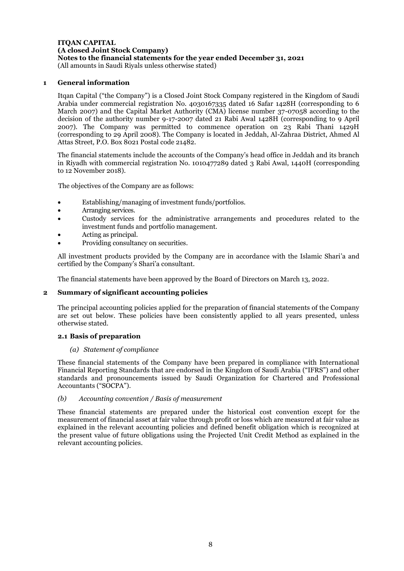# **1 General information**

Itqan Capital ("the Company") is a Closed Joint Stock Company registered in the Kingdom of Saudi Arabia under commercial registration No. 4030167335 dated 16 Safar 1428H (corresponding to 6 March 2007) and the Capital Market Authority (CMA) license number 37-07058 according to the decision of the authority number 9-17-2007 dated 21 Rabi Awal 1428H (corresponding to 9 April 2007). The Company was permitted to commence operation on 23 Rabi Thani 1429H (corresponding to 29 April 2008). The Company is located in Jeddah, Al-Zahraa District, Ahmed Al Attas Street, P.O. Box 8021 Postal code 21482.

The financial statements include the accounts of the Company's head office in Jeddah and its branch in Riyadh with commercial registration No. 1010477289 dated 3 Rabi Awal, 1440H (corresponding to 12 November 2018).

The objectives of the Company are as follows:

- Establishing/managing of investment funds/portfolios.
- **Arranging services.**
- Custody services for the administrative arrangements and procedures related to the investment funds and portfolio management.
- Acting as principal.
- Providing consultancy on securities.

All investment products provided by the Company are in accordance with the Islamic Shari'a and certified by the Company's Shari'a consultant.

The financial statements have been approved by the Board of Directors on March 13, 2022.

# **2 Summary of significant accounting policies**

The principal accounting policies applied for the preparation of financial statements of the Company are set out below. These policies have been consistently applied to all years presented, unless otherwise stated.

#### **2.1 Basis of preparation**

#### *(a) Statement of compliance*

These financial statements of the Company have been prepared in compliance with International Financial Reporting Standards that are endorsed in the Kingdom of Saudi Arabia ("IFRS") and other standards and pronouncements issued by Saudi Organization for Chartered and Professional Accountants ("SOCPA").

#### *(b) Accounting convention / Basis of measurement*

These financial statements are prepared under the historical cost convention except for the measurement of financial asset at fair value through profit or loss which are measured at fair value as explained in the relevant accounting policies and defined benefit obligation which is recognized at the present value of future obligations using the Projected Unit Credit Method as explained in the relevant accounting policies.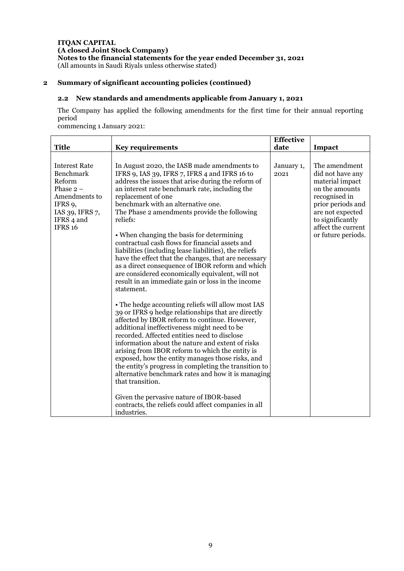# **2 Summary of significant accounting policies (continued)**

# **2.2 New standards and amendments applicable from January 1, 2021**

The Company has applied the following amendments for the first time for their annual reporting period

commencing 1 January 2021:

|                                                                                                                                           |                                                                                                                                                                                                                                                                                                                                                                                                                                                                                                                                                                                                                                                                                                                                                                                                                                                                                                                                                                                                                                                                                                                                                                                                                                                                                     | <b>Effective</b>   |                                                                                                                                                                                                  |
|-------------------------------------------------------------------------------------------------------------------------------------------|-------------------------------------------------------------------------------------------------------------------------------------------------------------------------------------------------------------------------------------------------------------------------------------------------------------------------------------------------------------------------------------------------------------------------------------------------------------------------------------------------------------------------------------------------------------------------------------------------------------------------------------------------------------------------------------------------------------------------------------------------------------------------------------------------------------------------------------------------------------------------------------------------------------------------------------------------------------------------------------------------------------------------------------------------------------------------------------------------------------------------------------------------------------------------------------------------------------------------------------------------------------------------------------|--------------------|--------------------------------------------------------------------------------------------------------------------------------------------------------------------------------------------------|
| <b>Title</b>                                                                                                                              | <b>Key requirements</b>                                                                                                                                                                                                                                                                                                                                                                                                                                                                                                                                                                                                                                                                                                                                                                                                                                                                                                                                                                                                                                                                                                                                                                                                                                                             | date               | Impact                                                                                                                                                                                           |
| <b>Interest Rate</b><br>Benchmark<br>Reform<br>Phase $2 -$<br>Amendments to<br>IFRS 9,<br>IAS 39, IFRS 7,<br>IFRS 4 and<br><b>IFRS 16</b> | In August 2020, the IASB made amendments to<br>IFRS 9, IAS 39, IFRS 7, IFRS 4 and IFRS 16 to<br>address the issues that arise during the reform of<br>an interest rate benchmark rate, including the<br>replacement of one<br>benchmark with an alternative one.<br>The Phase 2 amendments provide the following<br>reliefs:<br>• When changing the basis for determining<br>contractual cash flows for financial assets and<br>liabilities (including lease liabilities), the reliefs<br>have the effect that the changes, that are necessary<br>as a direct consequence of IBOR reform and which<br>are considered economically equivalent, will not<br>result in an immediate gain or loss in the income<br>statement.<br>• The hedge accounting reliefs will allow most IAS<br>39 or IFRS 9 hedge relationships that are directly<br>affected by IBOR reform to continue. However,<br>additional ineffectiveness might need to be<br>recorded. Affected entities need to disclose<br>information about the nature and extent of risks<br>arising from IBOR reform to which the entity is<br>exposed, how the entity manages those risks, and<br>the entity's progress in completing the transition to<br>alternative benchmark rates and how it is managing<br>that transition. | January 1,<br>2021 | The amendment<br>did not have any<br>material impact<br>on the amounts<br>recognised in<br>prior periods and<br>are not expected<br>to significantly<br>affect the current<br>or future periods. |
|                                                                                                                                           | Given the pervasive nature of IBOR-based<br>contracts, the reliefs could affect companies in all                                                                                                                                                                                                                                                                                                                                                                                                                                                                                                                                                                                                                                                                                                                                                                                                                                                                                                                                                                                                                                                                                                                                                                                    |                    |                                                                                                                                                                                                  |
|                                                                                                                                           | industries.                                                                                                                                                                                                                                                                                                                                                                                                                                                                                                                                                                                                                                                                                                                                                                                                                                                                                                                                                                                                                                                                                                                                                                                                                                                                         |                    |                                                                                                                                                                                                  |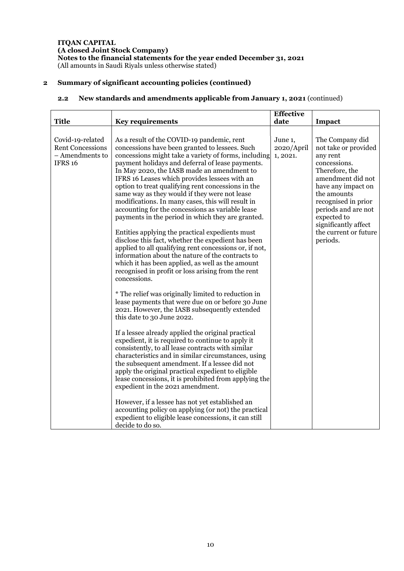# **2 Summary of significant accounting policies (continued)**

# **2.2 New standards and amendments applicable from January 1, 2021** (continued)

|                                                                                  |                                                                                                                                                                                                                                                                                                                                                                                                                                                                                                                                                                                                                                                                                                                                                                                                                                                                                                                                                                                                                                                                                                                                                                                                                                                                                                                                                                                                                                                                                                                                                                                                                                                                                                                                             | <b>Effective</b>                  |                                                                                                                                                                                                                                                                           |
|----------------------------------------------------------------------------------|---------------------------------------------------------------------------------------------------------------------------------------------------------------------------------------------------------------------------------------------------------------------------------------------------------------------------------------------------------------------------------------------------------------------------------------------------------------------------------------------------------------------------------------------------------------------------------------------------------------------------------------------------------------------------------------------------------------------------------------------------------------------------------------------------------------------------------------------------------------------------------------------------------------------------------------------------------------------------------------------------------------------------------------------------------------------------------------------------------------------------------------------------------------------------------------------------------------------------------------------------------------------------------------------------------------------------------------------------------------------------------------------------------------------------------------------------------------------------------------------------------------------------------------------------------------------------------------------------------------------------------------------------------------------------------------------------------------------------------------------|-----------------------------------|---------------------------------------------------------------------------------------------------------------------------------------------------------------------------------------------------------------------------------------------------------------------------|
| <b>Title</b>                                                                     | <b>Key requirements</b>                                                                                                                                                                                                                                                                                                                                                                                                                                                                                                                                                                                                                                                                                                                                                                                                                                                                                                                                                                                                                                                                                                                                                                                                                                                                                                                                                                                                                                                                                                                                                                                                                                                                                                                     | date                              | Impact                                                                                                                                                                                                                                                                    |
| Covid-19-related<br><b>Rent Concessions</b><br>- Amendments to<br><b>IFRS 16</b> | As a result of the COVID-19 pandemic, rent<br>concessions have been granted to lessees. Such<br>concessions might take a variety of forms, including<br>payment holidays and deferral of lease payments.<br>In May 2020, the IASB made an amendment to<br>IFRS 16 Leases which provides lessees with an<br>option to treat qualifying rent concessions in the<br>same way as they would if they were not lease<br>modifications. In many cases, this will result in<br>accounting for the concessions as variable lease<br>payments in the period in which they are granted.<br>Entities applying the practical expedients must<br>disclose this fact, whether the expedient has been<br>applied to all qualifying rent concessions or, if not,<br>information about the nature of the contracts to<br>which it has been applied, as well as the amount<br>recognised in profit or loss arising from the rent<br>concessions.<br>* The relief was originally limited to reduction in<br>lease payments that were due on or before 30 June<br>2021. However, the IASB subsequently extended<br>this date to 30 June 2022.<br>If a lessee already applied the original practical<br>expedient, it is required to continue to apply it<br>consistently, to all lease contracts with similar<br>characteristics and in similar circumstances, using<br>the subsequent amendment. If a lessee did not<br>apply the original practical expedient to eligible<br>lease concessions, it is prohibited from applying the<br>expedient in the 2021 amendment.<br>However, if a lessee has not yet established an<br>accounting policy on applying (or not) the practical<br>expedient to eligible lease concessions, it can still<br>decide to do so. | June 1,<br>2020/April<br>1, 2021. | The Company did<br>not take or provided<br>any rent<br>concessions.<br>Therefore, the<br>amendment did not<br>have any impact on<br>the amounts<br>recognised in prior<br>periods and are not<br>expected to<br>significantly affect<br>the current or future<br>periods. |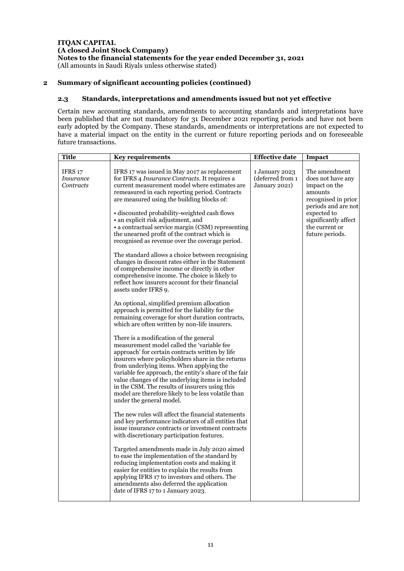# **ITQAN CAPITAL (A closed Joint Stock Company) Notes to the financial statements for the year ended December 31, 2021**

(All amounts in Saudi Riyals unless otherwise stated)

# **2 Summary of significant accounting policies (continued)**

# **2.3 Standards, interpretations and amendments issued but not yet effective**

Certain new accounting standards, amendments to accounting standards and interpretations have been published that are not mandatory for 31 December 2021 reporting periods and have not been early adopted by the Company. These standards, amendments or interpretations are not expected to have a material impact on the entity in the current or future reporting periods and on foreseeable future transactions.

| <b>Title</b>                                        | <b>Key requirements</b>                                                                                                                                                                                                                                                                                                                                                                                                                                                                                                                                                                                                                                                                                                                                                                                                                                                                                                                                                                                                                                                                                                                                                                                                                                                                                                                                                                                                                                                                                                                                                                                                                                                                                                                                                                                                                                                                                                                                                                                                                               | <b>Effective date</b>                               | Impact                                                                                                                                                                                   |
|-----------------------------------------------------|-------------------------------------------------------------------------------------------------------------------------------------------------------------------------------------------------------------------------------------------------------------------------------------------------------------------------------------------------------------------------------------------------------------------------------------------------------------------------------------------------------------------------------------------------------------------------------------------------------------------------------------------------------------------------------------------------------------------------------------------------------------------------------------------------------------------------------------------------------------------------------------------------------------------------------------------------------------------------------------------------------------------------------------------------------------------------------------------------------------------------------------------------------------------------------------------------------------------------------------------------------------------------------------------------------------------------------------------------------------------------------------------------------------------------------------------------------------------------------------------------------------------------------------------------------------------------------------------------------------------------------------------------------------------------------------------------------------------------------------------------------------------------------------------------------------------------------------------------------------------------------------------------------------------------------------------------------------------------------------------------------------------------------------------------------|-----------------------------------------------------|------------------------------------------------------------------------------------------------------------------------------------------------------------------------------------------|
| IFRS <sub>17</sub><br><i>Insurance</i><br>Contracts | IFRS 17 was issued in May 2017 as replacement<br>for IFRS 4 <i>Insurance Contracts</i> . It requires a<br>current measurement model where estimates are<br>remeasured in each reporting period. Contracts<br>are measured using the building blocks of:<br>• discounted probability-weighted cash flows<br>• an explicit risk adjustment, and<br>• a contractual service margin (CSM) representing<br>the unearned profit of the contract which is<br>recognised as revenue over the coverage period.<br>The standard allows a choice between recognising<br>changes in discount rates either in the Statement<br>of comprehensive income or directly in other<br>comprehensive income. The choice is likely to<br>reflect how insurers account for their financial<br>assets under IFRS 9.<br>An optional, simplified premium allocation<br>approach is permitted for the liability for the<br>remaining coverage for short duration contracts,<br>which are often written by non-life insurers.<br>There is a modification of the general<br>measurement model called the 'variable fee<br>approach' for certain contracts written by life<br>insurers where policyholders share in the returns<br>from underlying items. When applying the<br>variable fee approach, the entity's share of the fair<br>value changes of the underlying items is included<br>in the CSM. The results of insurers using this<br>model are therefore likely to be less volatile than<br>under the general model.<br>The new rules will affect the financial statements<br>and key performance indicators of all entities that<br>issue insurance contracts or investment contracts<br>with discretionary participation features.<br>Targeted amendments made in July 2020 aimed<br>to ease the implementation of the standard by<br>reducing implementation costs and making it<br>easier for entities to explain the results from<br>applying IFRS 17 to investors and others. The<br>amendments also deferred the application<br>date of IFRS 17 to 1 January 2023. | 1 January 2023<br>(deferred from 1<br>January 2021) | The amendment<br>does not have any<br>impact on the<br>amounts<br>recognised in prior<br>periods and are not<br>expected to<br>significantly affect<br>the current or<br>future periods. |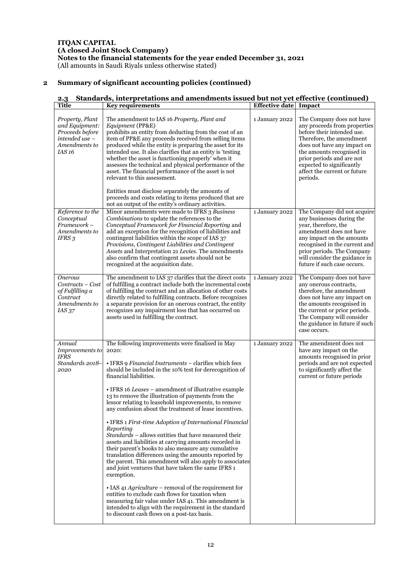# **2 Summary of significant accounting policies (continued)**

# **2.3 Standards, interpretations and amendments issued but not yet effective (continued)**

| Title                                                                                             | <b>Key requirements</b>                                                                                                                                                                                                                                                                                                                                                                                                                                                                                                                                                                                                                                                                                                                                                                                                                                                                                                                                                                                                                                                                                                                                                      | Effective date   Impact |                                                                                                                                                                                                                                                                                       |
|---------------------------------------------------------------------------------------------------|------------------------------------------------------------------------------------------------------------------------------------------------------------------------------------------------------------------------------------------------------------------------------------------------------------------------------------------------------------------------------------------------------------------------------------------------------------------------------------------------------------------------------------------------------------------------------------------------------------------------------------------------------------------------------------------------------------------------------------------------------------------------------------------------------------------------------------------------------------------------------------------------------------------------------------------------------------------------------------------------------------------------------------------------------------------------------------------------------------------------------------------------------------------------------|-------------------------|---------------------------------------------------------------------------------------------------------------------------------------------------------------------------------------------------------------------------------------------------------------------------------------|
| Property, Plant<br>and Equipment:<br>Proceeds before<br>intended use -<br>Amendments to<br>IAS 16 | The amendment to IAS 16 Property, Plant and<br>Equipment (PP&E)<br>prohibits an entity from deducting from the cost of an<br>item of PP&E any proceeds received from selling items<br>produced while the entity is preparing the asset for its<br>intended use. It also clarifies that an entity is 'testing<br>whether the asset is functioning properly' when it<br>assesses the technical and physical performance of the<br>asset. The financial performance of the asset is not<br>relevant to this assessment.<br>Entities must disclose separately the amounts of<br>proceeds and costs relating to items produced that are<br>not an output of the entity's ordinary activities.                                                                                                                                                                                                                                                                                                                                                                                                                                                                                     | 1 January 2022          | The Company does not have<br>any proceeds from properties<br>before their intended use.<br>Therefore, the amendment<br>does not have any impact on<br>the amounts recognised in<br>prior periods and are not<br>expected to significantly<br>affect the current or future<br>periods. |
| Reference to the<br>Conceptual<br>Framework -<br>Amendments to<br>IFRS <sub>3</sub>               | Minor amendments were made to IFRS 3 Business<br>Combinations to update the references to the<br>Conceptual Framework for Financial Reporting and<br>add an exception for the recognition of liabilities and<br>contingent liabilities within the scope of IAS 37<br>Provisions, Contingent Liabilities and Contingent<br>Assets and Interpretation 21 Levies. The amendments<br>also confirm that contingent assets should not be<br>recognized at the acquisition date.                                                                                                                                                                                                                                                                                                                                                                                                                                                                                                                                                                                                                                                                                                    | 1 January 2022          | The Company did not acquire<br>any businesses during the<br>year, therefore, the<br>amendment does not have<br>any impact on the amounts<br>recognised in the current and<br>prior periods. The Company<br>will consider the guidance in<br>future if such case occurs.               |
| <b>Onerous</b><br>Contracts - Cost<br>of Fulfilling a<br>Contract<br>Amendments to<br>IAS 37      | The amendment to IAS 37 clarifies that the direct costs<br>of fulfilling a contract include both the incremental costs<br>of fulfilling the contract and an allocation of other costs<br>directly related to fulfilling contracts. Before recognizes<br>a separate provision for an onerous contract, the entity<br>recognizes any impairment loss that has occurred on<br>assets used in fulfilling the contract.                                                                                                                                                                                                                                                                                                                                                                                                                                                                                                                                                                                                                                                                                                                                                           | 1 January 2022          | The Company does not have<br>any onerous contracts,<br>therefore, the amendment<br>does not have any impact on<br>the amounts recognised in<br>the current or prior periods.<br>The Company will consider<br>the guidance in future if such<br>case occurs.                           |
| Annual<br>Improvements to<br><b>IFRS</b><br>Standards 2018-<br>2020                               | The following improvements were finalised in May<br>2020:<br>• IFRS 9 Financial Instruments – clarifies which fees<br>should be included in the 10% test for derecognition of<br>financial liabilities.<br>• IFRS 16 Leases – amendment of illustrative example<br>13 to remove the illustration of payments from the<br>lessor relating to leasehold improvements, to remove<br>any confusion about the treatment of lease incentives.<br>• IFRS 1 First-time Adoption of International Financial<br>Reporting<br>Standards - allows entities that have measured their<br>assets and liabilities at carrying amounts recorded in<br>their parent's books to also measure any cumulative<br>translation differences using the amounts reported by<br>the parent. This amendment will also apply to associates<br>and joint ventures that have taken the same IFRS 1<br>exemption.<br>$\cdot$ IAS 41 <i>Agriculture</i> – removal of the requirement for<br>entities to exclude cash flows for taxation when<br>measuring fair value under IAS 41. This amendment is<br>intended to align with the requirement in the standard<br>to discount cash flows on a post-tax basis. | 1 January 2022          | The amendment does not<br>have any impact on the<br>amounts recognised in prior<br>periods and are not expected<br>to significantly affect the<br>current or future periods                                                                                                           |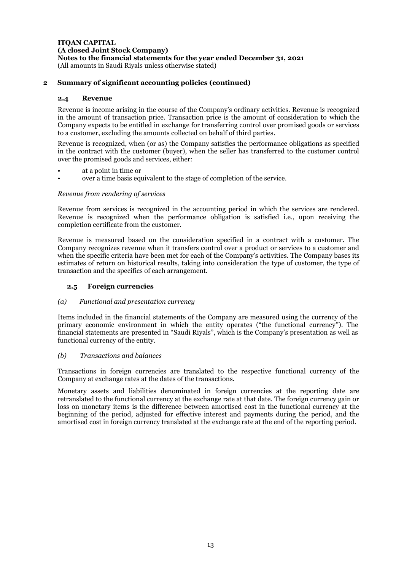# **2 Summary of significant accounting policies (continued)**

# **2.4 Revenue**

Revenue is income arising in the course of the Company's ordinary activities. Revenue is recognized in the amount of transaction price. Transaction price is the amount of consideration to which the Company expects to be entitled in exchange for transferring control over promised goods or services to a customer, excluding the amounts collected on behalf of third parties.

Revenue is recognized, when (or as) the Company satisfies the performance obligations as specified in the contract with the customer (buyer), when the seller has transferred to the customer control over the promised goods and services, either:

- at a point in time or
- over a time basis equivalent to the stage of completion of the service.

# *Revenue from rendering of services*

Revenue from services is recognized in the accounting period in which the services are rendered. Revenue is recognized when the performance obligation is satisfied i.e., upon receiving the completion certificate from the customer.

Revenue is measured based on the consideration specified in a contract with a customer. The Company recognizes revenue when it transfers control over a product or services to a customer and when the specific criteria have been met for each of the Company's activities. The Company bases its estimates of return on historical results, taking into consideration the type of customer, the type of transaction and the specifics of each arrangement.

# **2.5 Foreign currencies**

# *(a) Functional and presentation currency*

Items included in the financial statements of the Company are measured using the currency of the primary economic environment in which the entity operates ("the functional currency"). The financial statements are presented in "Saudi Riyals", which is the Company's presentation as well as functional currency of the entity.

# *(b) Transactions and balances*

Transactions in foreign currencies are translated to the respective functional currency of the Company at exchange rates at the dates of the transactions.

Monetary assets and liabilities denominated in foreign currencies at the reporting date are retranslated to the functional currency at the exchange rate at that date. The foreign currency gain or loss on monetary items is the difference between amortised cost in the functional currency at the beginning of the period, adjusted for effective interest and payments during the period, and the amortised cost in foreign currency translated at the exchange rate at the end of the reporting period.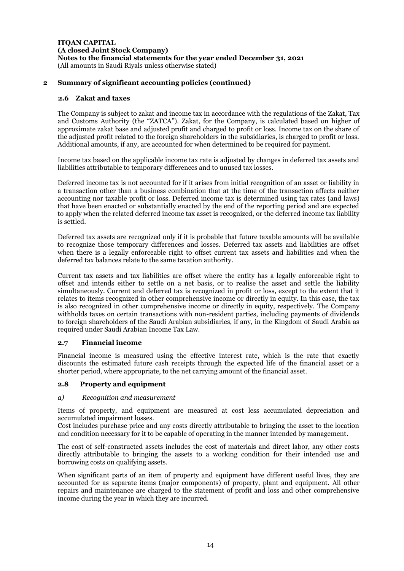# **2 Summary of significant accounting policies (continued)**

#### **2.6 Zakat and taxes**

The Company is subject to zakat and income tax in accordance with the regulations of the Zakat, Tax and Customs Authority (the "ZATCA"). Zakat, for the Company, is calculated based on higher of approximate zakat base and adjusted profit and charged to profit or loss. Income tax on the share of the adjusted profit related to the foreign shareholders in the subsidiaries, is charged to profit or loss. Additional amounts, if any, are accounted for when determined to be required for payment.

Income tax based on the applicable income tax rate is adjusted by changes in deferred tax assets and liabilities attributable to temporary differences and to unused tax losses.

Deferred income tax is not accounted for if it arises from initial recognition of an asset or liability in a transaction other than a business combination that at the time of the transaction affects neither accounting nor taxable profit or loss. Deferred income tax is determined using tax rates (and laws) that have been enacted or substantially enacted by the end of the reporting period and are expected to apply when the related deferred income tax asset is recognized, or the deferred income tax liability is settled.

Deferred tax assets are recognized only if it is probable that future taxable amounts will be available to recognize those temporary differences and losses. Deferred tax assets and liabilities are offset when there is a legally enforceable right to offset current tax assets and liabilities and when the deferred tax balances relate to the same taxation authority.

Current tax assets and tax liabilities are offset where the entity has a legally enforceable right to offset and intends either to settle on a net basis, or to realise the asset and settle the liability simultaneously. Current and deferred tax is recognized in profit or loss, except to the extent that it relates to items recognized in other comprehensive income or directly in equity. In this case, the tax is also recognized in other comprehensive income or directly in equity, respectively. The Company withholds taxes on certain transactions with non-resident parties, including payments of dividends to foreign shareholders of the Saudi Arabian subsidiaries, if any, in the Kingdom of Saudi Arabia as required under Saudi Arabian Income Tax Law.

#### **2.7 Financial income**

Financial income is measured using the effective interest rate, which is the rate that exactly discounts the estimated future cash receipts through the expected life of the financial asset or a shorter period, where appropriate, to the net carrying amount of the financial asset.

#### **2.8 Property and equipment**

#### *a) Recognition and measurement*

Items of property, and equipment are measured at cost less accumulated depreciation and accumulated impairment losses.

Cost includes purchase price and any costs directly attributable to bringing the asset to the location and condition necessary for it to be capable of operating in the manner intended by management.

The cost of self-constructed assets includes the cost of materials and direct labor, any other costs directly attributable to bringing the assets to a working condition for their intended use and borrowing costs on qualifying assets.

When significant parts of an item of property and equipment have different useful lives, they are accounted for as separate items (major components) of property, plant and equipment. All other repairs and maintenance are charged to the statement of profit and loss and other comprehensive income during the year in which they are incurred.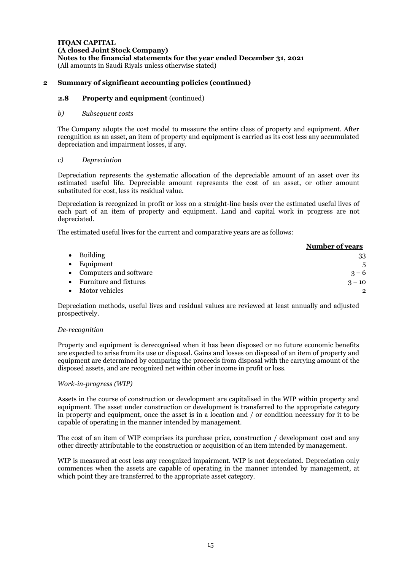# **2 Summary of significant accounting policies (continued)**

# **2.8 Property and equipment** (continued)

#### *b) Subsequent costs*

The Company adopts the cost model to measure the entire class of property and equipment. After recognition as an asset, an item of property and equipment is carried as its cost less any accumulated depreciation and impairment losses, if any.

#### *c) Depreciation*

Depreciation represents the systematic allocation of the depreciable amount of an asset over its estimated useful life. Depreciable amount represents the cost of an asset, or other amount substituted for cost, less its residual value.

Depreciation is recognized in profit or loss on a straight-line basis over the estimated useful lives of each part of an item of property and equipment. Land and capital work in progress are not depreciated.

The estimated useful lives for the current and comparative years are as follows:

|                          | <b>Number of years</b> |
|--------------------------|------------------------|
| $\bullet$ Building       | 33                     |
| $\bullet$ Equipment      | -5                     |
| • Computers and software | $3 - 6$                |
| • Furniture and fixtures | $3 - 10$               |
| • Motor vehicles         | $\overline{2}$         |

Depreciation methods, useful lives and residual values are reviewed at least annually and adjusted prospectively.

#### *De-recognition*

Property and equipment is derecognised when it has been disposed or no future economic benefits are expected to arise from its use or disposal. Gains and losses on disposal of an item of property and equipment are determined by comparing the proceeds from disposal with the carrying amount of the disposed assets, and are recognized net within other income in profit or loss.

#### *Work-in-progress (WIP)*

Assets in the course of construction or development are capitalised in the WIP within property and equipment. The asset under construction or development is transferred to the appropriate category in property and equipment, once the asset is in a location and / or condition necessary for it to be capable of operating in the manner intended by management.

The cost of an item of WIP comprises its purchase price, construction / development cost and any other directly attributable to the construction or acquisition of an item intended by management.

WIP is measured at cost less any recognized impairment. WIP is not depreciated. Depreciation only commences when the assets are capable of operating in the manner intended by management, at which point they are transferred to the appropriate asset category.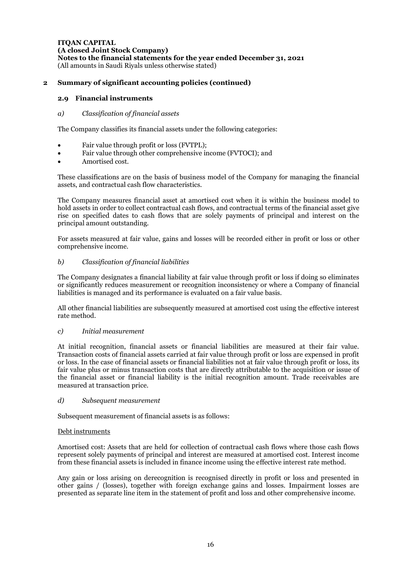# **2 Summary of significant accounting policies (continued)**

# **2.9 Financial instruments**

# *a) Classification of financial assets*

The Company classifies its financial assets under the following categories:

- Fair value through profit or loss (FVTPL);
- Fair value through other comprehensive income (FVTOCI); and
- Amortised cost.

These classifications are on the basis of business model of the Company for managing the financial assets, and contractual cash flow characteristics.

The Company measures financial asset at amortised cost when it is within the business model to hold assets in order to collect contractual cash flows, and contractual terms of the financial asset give rise on specified dates to cash flows that are solely payments of principal and interest on the principal amount outstanding.

For assets measured at fair value, gains and losses will be recorded either in profit or loss or other comprehensive income.

# *b) Classification of financial liabilities*

The Company designates a financial liability at fair value through profit or loss if doing so eliminates or significantly reduces measurement or recognition inconsistency or where a Company of financial liabilities is managed and its performance is evaluated on a fair value basis.

All other financial liabilities are subsequently measured at amortised cost using the effective interest rate method.

# *c) Initial measurement*

At initial recognition, financial assets or financial liabilities are measured at their fair value. Transaction costs of financial assets carried at fair value through profit or loss are expensed in profit or loss. In the case of financial assets or financial liabilities not at fair value through profit or loss, its fair value plus or minus transaction costs that are directly attributable to the acquisition or issue of the financial asset or financial liability is the initial recognition amount. Trade receivables are measured at transaction price.

# *d) Subsequent measurement*

Subsequent measurement of financial assets is as follows:

#### Debt instruments

Amortised cost: Assets that are held for collection of contractual cash flows where those cash flows represent solely payments of principal and interest are measured at amortised cost. Interest income from these financial assets is included in finance income using the effective interest rate method.

Any gain or loss arising on derecognition is recognised directly in profit or loss and presented in other gains / (losses), together with foreign exchange gains and losses. Impairment losses are presented as separate line item in the statement of profit and loss and other comprehensive income.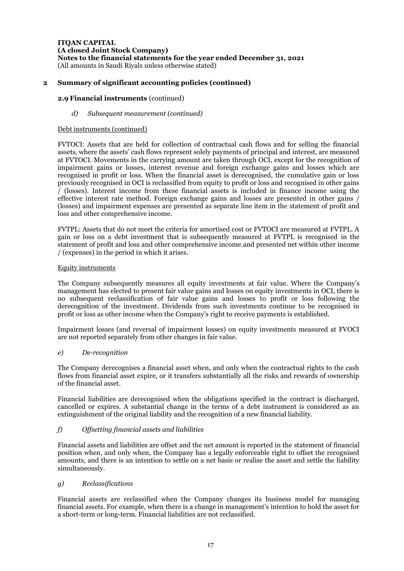# **2 Summary of significant accounting policies (continued)**

# **2.9 Financial instruments** (continued)

# *d) Subsequent measurement (continued)*

#### Debt instruments (continued)

FVTOCI: Assets that are held for collection of contractual cash flows and for selling the financial assets, where the assets' cash flows represent solely payments of principal and interest, are measured at FVTOCI. Movements in the carrying amount are taken through OCI, except for the recognition of impairment gains or losses, interest revenue and foreign exchange gains and losses which are recognised in profit or loss. When the financial asset is derecognised, the cumulative gain or loss previously recognised in OCI is reclassified from equity to profit or loss and recognised in other gains / (losses). Interest income from these financial assets is included in finance income using the effective interest rate method. Foreign exchange gains and losses are presented in other gains / (losses) and impairment expenses are presented as separate line item in the statement of profit and loss and other comprehensive income.

FVTPL: Assets that do not meet the criteria for amortised cost or FVTOCI are measured at FVTPL. A gain or loss on a debt investment that is subsequently measured at FVTPL is recognised in the statement of profit and loss and other comprehensive income.and presented net within other income / (expenses) in the period in which it arises.

#### Equity instruments

The Company subsequently measures all equity investments at fair value. Where the Company's management has elected to present fair value gains and losses on equity investments in OCI, there is no subsequent reclassification of fair value gains and losses to profit or loss following the derecognition of the investment. Dividends from such investments continue to be recognised in profit or loss as other income when the Company's right to receive payments is established.

Impairment losses (and reversal of impairment losses) on equity investments measured at FVOCI are not reported separately from other changes in fair value.

#### *e) De-recognition*

The Company derecognises a financial asset when, and only when the contractual rights to the cash flows from financial asset expire, or it transfers substantially all the risks and rewards of ownership of the financial asset.

Financial liabilities are derecognised when the obligations specified in the contract is discharged, cancelled or expires. A substantial change in the terms of a debt instrument is considered as an extinguishment of the original liability and the recognition of a new financial liability.

#### *f) Offsetting financial assets and liabilities*

Financial assets and liabilities are offset and the net amount is reported in the statement of financial position when, and only when, the Company has a legally enforceable right to offset the recognised amounts, and there is an intention to settle on a net basis or realise the asset and settle the liability simultaneously.

#### *g) Reclassifications*

Financial assets are reclassified when the Company changes its business model for managing financial assets. For example, when there is a change in management's intention to hold the asset for a short-term or long-term. Financial liabilities are not reclassified.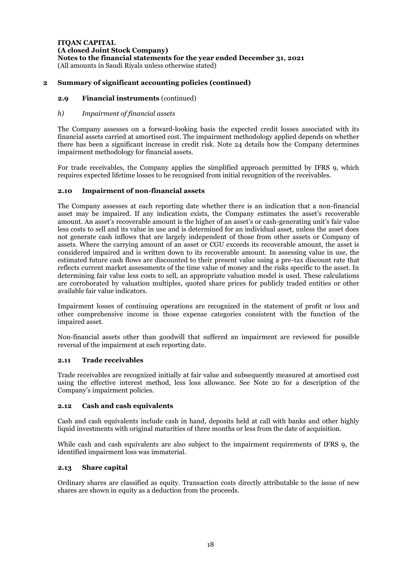# **2 Summary of significant accounting policies (continued)**

# **2.9 Financial instruments** (continued)

# *h) Impairment of financial assets*

The Company assesses on a forward-looking basis the expected credit losses associated with its financial assets carried at amortised cost. The impairment methodology applied depends on whether there has been a significant increase in credit risk. Note 24 details how the Company determines impairment methodology for financial assets.

For trade receivables, the Company applies the simplified approach permitted by IFRS 9, which requires expected lifetime losses to be recognised from initial recognition of the receivables.

# **2.10 Impairment of non-financial assets**

The Company assesses at each reporting date whether there is an indication that a non-financial asset may be impaired. If any indication exists, the Company estimates the asset's recoverable amount. An asset's recoverable amount is the higher of an asset's or cash-generating unit's fair value less costs to sell and its value in use and is determined for an individual asset, unless the asset does not generate cash inflows that are largely independent of those from other assets or Company of assets. Where the carrying amount of an asset or CGU exceeds its recoverable amount, the asset is considered impaired and is written down to its recoverable amount. In assessing value in use, the estimated future cash flows are discounted to their present value using a pre-tax discount rate that reflects current market assessments of the time value of money and the risks specific to the asset. In determining fair value less costs to sell, an appropriate valuation model is used. These calculations are corroborated by valuation multiples, quoted share prices for publicly traded entities or other available fair value indicators.

Impairment losses of continuing operations are recognized in the statement of profit or loss and other comprehensive income in those expense categories consistent with the function of the impaired asset.

Non-financial assets other than goodwill that suffered an impairment are reviewed for possible reversal of the impairment at each reporting date.

# **2.11 Trade receivables**

Trade receivables are recognized initially at fair value and subsequently measured at amortised cost using the effective interest method, less loss allowance. See Note 20 for a description of the Company's impairment policies.

# **2.12 Cash and cash equivalents**

Cash and cash equivalents include cash in hand, deposits held at call with banks and other highly liquid investments with original maturities of three months or less from the date of acquisition.

While cash and cash equivalents are also subject to the impairment requirements of IFRS 9, the identified impairment loss was immaterial.

# **2.13 Share capital**

Ordinary shares are classified as equity. Transaction costs directly attributable to the issue of new shares are shown in equity as a deduction from the proceeds.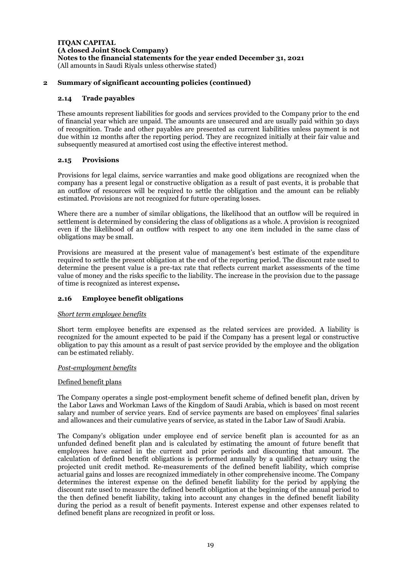# **2 Summary of significant accounting policies (continued)**

# **2.14 Trade payables**

These amounts represent liabilities for goods and services provided to the Company prior to the end of financial year which are unpaid. The amounts are unsecured and are usually paid within 30 days of recognition. Trade and other payables are presented as current liabilities unless payment is not due within 12 months after the reporting period. They are recognized initially at their fair value and subsequently measured at amortised cost using the effective interest method.

#### **2.15 Provisions**

Provisions for legal claims, service warranties and make good obligations are recognized when the company has a present legal or constructive obligation as a result of past events, it is probable that an outflow of resources will be required to settle the obligation and the amount can be reliably estimated. Provisions are not recognized for future operating losses.

Where there are a number of similar obligations, the likelihood that an outflow will be required in settlement is determined by considering the class of obligations as a whole. A provision is recognized even if the likelihood of an outflow with respect to any one item included in the same class of obligations may be small.

Provisions are measured at the present value of management's best estimate of the expenditure required to settle the present obligation at the end of the reporting period. The discount rate used to determine the present value is a pre-tax rate that reflects current market assessments of the time value of money and the risks specific to the liability. The increase in the provision due to the passage of time is recognized as interest expense**.**

# **2.16 Employee benefit obligations**

#### *Short term employee benefits*

Short term employee benefits are expensed as the related services are provided. A liability is recognized for the amount expected to be paid if the Company has a present legal or constructive obligation to pay this amount as a result of past service provided by the employee and the obligation can be estimated reliably.

#### *Post-employment benefits*

#### Defined benefit plans

The Company operates a single post-employment benefit scheme of defined benefit plan, driven by the Labor Laws and Workman Laws of the Kingdom of Saudi Arabia, which is based on most recent salary and number of service years. End of service payments are based on employees' final salaries and allowances and their cumulative years of service, as stated in the Labor Law of Saudi Arabia.

The Company's obligation under employee end of service benefit plan is accounted for as an unfunded defined benefit plan and is calculated by estimating the amount of future benefit that employees have earned in the current and prior periods and discounting that amount. The calculation of defined benefit obligations is performed annually by a qualified actuary using the projected unit credit method. Re-measurements of the defined benefit liability, which comprise actuarial gains and losses are recognized immediately in other comprehensive income. The Company determines the interest expense on the defined benefit liability for the period by applying the discount rate used to measure the defined benefit obligation at the beginning of the annual period to the then defined benefit liability, taking into account any changes in the defined benefit liability during the period as a result of benefit payments. Interest expense and other expenses related to defined benefit plans are recognized in profit or loss.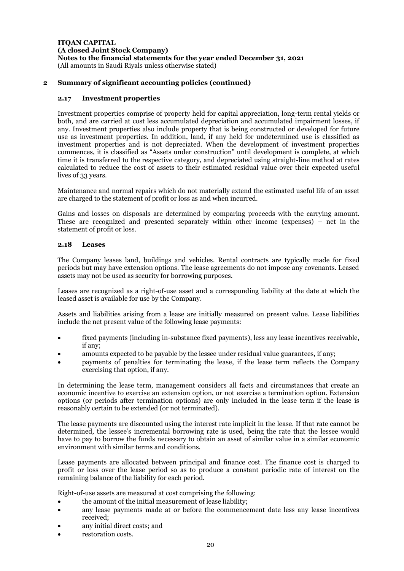# **2 Summary of significant accounting policies (continued)**

# **2.17 Investment properties**

Investment properties comprise of property held for capital appreciation, long-term rental yields or both, and are carried at cost less accumulated depreciation and accumulated impairment losses, if any. Investment properties also include property that is being constructed or developed for future use as investment properties. In addition, land, if any held for undetermined use is classified as investment properties and is not depreciated. When the development of investment properties commences, it is classified as "Assets under construction" until development is complete, at which time it is transferred to the respective category, and depreciated using straight-line method at rates calculated to reduce the cost of assets to their estimated residual value over their expected useful lives of 33 years.

Maintenance and normal repairs which do not materially extend the estimated useful life of an asset are charged to the statement of profit or loss as and when incurred.

Gains and losses on disposals are determined by comparing proceeds with the carrying amount. These are recognized and presented separately within other income (expenses) – net in the statement of profit or loss.

#### **2.18 Leases**

The Company leases land, buildings and vehicles. Rental contracts are typically made for fixed periods but may have extension options. The lease agreements do not impose any covenants. Leased assets may not be used as security for borrowing purposes.

Leases are recognized as a right-of-use asset and a corresponding liability at the date at which the leased asset is available for use by the Company.

Assets and liabilities arising from a lease are initially measured on present value. Lease liabilities include the net present value of the following lease payments:

- fixed payments (including in-substance fixed payments), less any lease incentives receivable, if any;
- amounts expected to be payable by the lessee under residual value guarantees, if any;
- payments of penalties for terminating the lease, if the lease term reflects the Company exercising that option, if any.

In determining the lease term, management considers all facts and circumstances that create an economic incentive to exercise an extension option, or not exercise a termination option. Extension options (or periods after termination options) are only included in the lease term if the lease is reasonably certain to be extended (or not terminated).

The lease payments are discounted using the interest rate implicit in the lease. If that rate cannot be determined, the lessee's incremental borrowing rate is used, being the rate that the lessee would have to pay to borrow the funds necessary to obtain an asset of similar value in a similar economic environment with similar terms and conditions.

Lease payments are allocated between principal and finance cost. The finance cost is charged to profit or loss over the lease period so as to produce a constant periodic rate of interest on the remaining balance of the liability for each period.

Right-of-use assets are measured at cost comprising the following:

- the amount of the initial measurement of lease liability;
- any lease payments made at or before the commencement date less any lease incentives received;
- any initial direct costs; and
- restoration costs.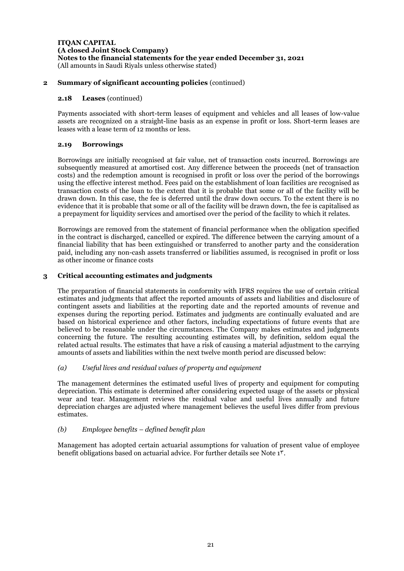# **2 Summary of significant accounting policies** (continued)

#### **2.18 Leases** (continued)

Payments associated with short-term leases of equipment and vehicles and all leases of low-value assets are recognized on a straight-line basis as an expense in profit or loss. Short-term leases are leases with a lease term of 12 months or less.

# **2.19 Borrowings**

Borrowings are initially recognised at fair value, net of transaction costs incurred. Borrowings are subsequently measured at amortised cost. Any difference between the proceeds (net of transaction costs) and the redemption amount is recognised in profit or loss over the period of the borrowings using the effective interest method. Fees paid on the establishment of loan facilities are recognised as transaction costs of the loan to the extent that it is probable that some or all of the facility will be drawn down. In this case, the fee is deferred until the draw down occurs. To the extent there is no evidence that it is probable that some or all of the facility will be drawn down, the fee is capitalised as a prepayment for liquidity services and amortised over the period of the facility to which it relates.

Borrowings are removed from the statement of financial performance when the obligation specified in the contract is discharged, cancelled or expired. The difference between the carrying amount of a financial liability that has been extinguished or transferred to another party and the consideration paid, including any non-cash assets transferred or liabilities assumed, is recognised in profit or loss as other income or finance costs

# **3 Critical accounting estimates and judgments**

The preparation of financial statements in conformity with IFRS requires the use of certain critical estimates and judgments that affect the reported amounts of assets and liabilities and disclosure of contingent assets and liabilities at the reporting date and the reported amounts of revenue and expenses during the reporting period. Estimates and judgments are continually evaluated and are based on historical experience and other factors, including expectations of future events that are believed to be reasonable under the circumstances. The Company makes estimates and judgments concerning the future. The resulting accounting estimates will, by definition, seldom equal the related actual results. The estimates that have a risk of causing a material adjustment to the carrying amounts of assets and liabilities within the next twelve month period are discussed below:

# *(a) Useful lives and residual values of property and equipment*

The management determines the estimated useful lives of property and equipment for computing depreciation. This estimate is determined after considering expected usage of the assets or physical wear and tear. Management reviews the residual value and useful lives annually and future depreciation charges are adjusted where management believes the useful lives differ from previous estimates.

#### *(b) Employee benefits – defined benefit plan*

Management has adopted certain actuarial assumptions for valuation of present value of employee benefit obligations based on actuarial advice. For further details see Note 1<sup>r</sup>.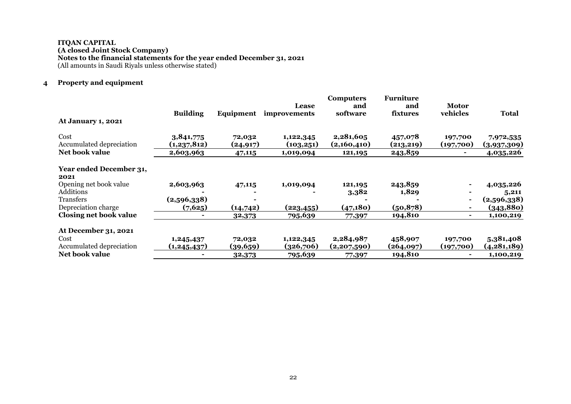# **4 Property and equipment**

| At January 1, 2021               | <b>Building</b>            | Equipment           | Lease<br>improvements   | <b>Computers</b><br>and<br>software | <b>Furniture</b><br>and<br>fixtures | <b>Motor</b><br>vehicles | <b>Total</b>             |
|----------------------------------|----------------------------|---------------------|-------------------------|-------------------------------------|-------------------------------------|--------------------------|--------------------------|
| Cost<br>Accumulated depreciation | 3,841,775<br>(1, 237, 812) | 72,032<br>(24, 917) | 1,122,345<br>(103, 251) | 2,281,605<br>(2,160,410)            | 457,078<br>(213,219)                | 197,700<br>(197,700)     | 7,972,535<br>(3,937,309) |
| Net book value                   | 2,603,963                  | 47,115              | 1,019,094               | 121,195                             | 243,859                             |                          | 4,035,226                |
| Year ended December 31,          |                            |                     |                         |                                     |                                     |                          |                          |
| 2021                             |                            |                     |                         |                                     |                                     |                          |                          |
| Opening net book value           | 2,603,963                  | 47,115              | 1,019,094               | 121,195                             | 243,859                             |                          | 4,035,226                |
| Additions                        |                            |                     |                         | 3,382                               | 1,829                               |                          | 5,211                    |
| <b>Transfers</b>                 | (2,596,338)                |                     |                         |                                     |                                     | ۰                        | (2,596,338)              |
| Depreciation charge              | (7,625)                    | (14,742)            | (223, 455)              | (47, 180)                           | (50, 878)                           |                          | (343, 880)               |
| Closing net book value           |                            | 32,373              | 795,639                 | 77,397                              | 194,810                             | ۰                        | 1,100,219                |
| At December 31, 2021             |                            |                     |                         |                                     |                                     |                          |                          |
| Cost                             | 1,245,437                  | 72,032              | 1,122,345               | 2,284,987                           | 458,907                             | 197,700                  | 5,381,408                |
| Accumulated depreciation         | (1,245,437)                | (39,659)            | (326,706)               | (2,207,590)                         | (264,097)                           | (197,700)                | (4,281,189)              |
| Net book value                   |                            | 32,373              | <u>795,639</u>          | 77,397                              | 194,810                             |                          | 1,100,219                |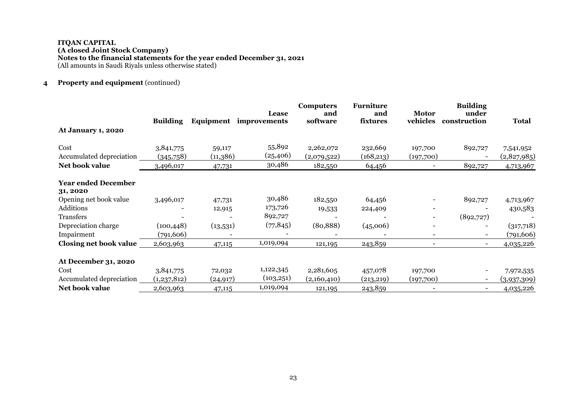# **4 Property and equipment** (continued)

|                                        | <b>Building</b>        |                    | <b>Lease</b><br><b>Equipment</b> improvements | <b>Computers</b><br>and<br>software | <b>Furniture</b><br>and<br>fixtures | <b>Motor</b><br>vehicles | <b>Building</b><br>under<br>construction | <b>Total</b>             |
|----------------------------------------|------------------------|--------------------|-----------------------------------------------|-------------------------------------|-------------------------------------|--------------------------|------------------------------------------|--------------------------|
| <b>At January 1, 2020</b>              |                        |                    |                                               |                                     |                                     |                          |                                          |                          |
| Cost<br>Accumulated depreciation       | 3,841,775<br>(345,758) | 59,117<br>(11,386) | 55,892<br>(25, 406)                           | 2,262,072<br>(2,079,522)            | 232,669<br>(168, 213)               | 197,700<br>(197,700)     | 892,727                                  | 7,541,952<br>(2,827,985) |
| Net book value                         | 3,496,017              | 47,731             | 30,486                                        | 182,550                             | 64,456                              |                          | 892,727                                  | 4,713,967                |
| <b>Year ended December</b><br>31, 2020 |                        |                    |                                               |                                     |                                     |                          |                                          |                          |
| Opening net book value                 | 3,496,017              | 47,731             | 30,486                                        | 182,550                             | 64,456                              |                          | 892,727                                  | 4,713,967                |
| Additions                              |                        | 12,915             | 173,726                                       | 19,533                              | 224,409                             |                          |                                          | 430,583                  |
| Transfers                              |                        |                    | 892,727                                       |                                     |                                     |                          | (892,727)                                |                          |
| Depreciation charge                    | (100, 448)             | (13,531)           | (77, 845)                                     | (80, 888)                           | (45,006)                            |                          |                                          | (317,718)                |
| Impairment                             | (791, 606)             |                    |                                               |                                     |                                     |                          |                                          | (791, 606)               |
| <b>Closing net book value</b>          | 2,603,963              | 47,115             | 1,019,094                                     | 121,195                             | 243,859                             |                          | $\overline{\phantom{a}}$                 | 4,035,226                |
| At December 31, 2020                   |                        |                    |                                               |                                     |                                     |                          |                                          |                          |
| Cost                                   | 3,841,775              | 72,032             | 1,122,345                                     | 2,281,605                           | 457,078                             | 197,700                  |                                          | 7,972,535                |
| Accumulated depreciation               | (1,237,812)            | (24, 917)          | (103, 251)                                    | (2,160,410)                         | (213, 219)                          | (197,700)                |                                          | (3,937,309)              |
| Net book value                         | 2,603,963              | 47,115             | 1,019,094                                     | 121,195                             | 243,859                             |                          |                                          | 4,035,226                |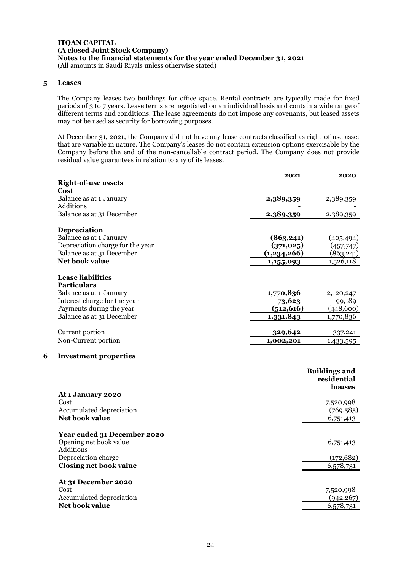#### **5 Leases**

The Company leases two buildings for office space. Rental contracts are typically made for fixed periods of 3 to 7 years. Lease terms are negotiated on an individual basis and contain a wide range of different terms and conditions. The lease agreements do not impose any covenants, but leased assets may not be used as security for borrowing purposes.

At December 31, 2021, the Company did not have any lease contracts classified as right-of-use asset that are variable in nature. The Company's leases do not contain extension options exercisable by the Company before the end of the non-cancellable contract period. The Company does not provide residual value guarantees in relation to any of its leases.

|   |                                                   | 2021        | 2020                      |
|---|---------------------------------------------------|-------------|---------------------------|
|   | <b>Right-of-use assets</b>                        |             |                           |
|   | Cost                                              |             |                           |
|   | Balance as at 1 January                           | 2,389,359   | 2,389,359                 |
|   | <b>Additions</b>                                  |             |                           |
|   | Balance as at 31 December                         | 2,389,359   | 2,389,359                 |
|   | Depreciation                                      |             |                           |
|   | Balance as at 1 January                           | (863,241)   | (405, 494)                |
|   | Depreciation charge for the year                  | (371, 025)  | (457,747)                 |
|   | Balance as at 31 December                         | (1,234,266) | (863,241)                 |
|   | Net book value                                    | 1,155,093   | 1,526,118                 |
|   |                                                   |             |                           |
|   | <b>Lease liabilities</b><br><b>Particulars</b>    |             |                           |
|   | Balance as at 1 January                           | 1,770,836   | 2,120,247                 |
|   | Interest charge for the year                      | 73,623      | 99,189                    |
|   | Payments during the year                          | (512, 616)  | (448,600)                 |
|   | Balance as at 31 December                         | 1,331,843   | 1,770,836                 |
|   |                                                   |             |                           |
|   | Current portion                                   | 329,642     | 337,241                   |
|   | Non-Current portion                               | 1,002,201   | 1,433,595                 |
| 6 | <b>Investment properties</b>                      |             |                           |
|   |                                                   |             |                           |
|   |                                                   |             | <b>Buildings and</b>      |
|   |                                                   |             | residential               |
|   |                                                   |             | houses                    |
|   | At 1 January 2020                                 |             |                           |
|   | Cost                                              |             | 7,520,998                 |
|   | Accumulated depreciation<br><b>Net book value</b> |             | (769, 585)                |
|   |                                                   |             | 6,751,413                 |
|   | Year ended 31 December 2020                       |             |                           |
|   | Opening net book value                            |             | 6,751,413                 |
|   | Additions                                         |             |                           |
|   | Depreciation charge                               |             | (172, 682)                |
|   | <b>Closing net book value</b>                     |             | $\overline{6}$ , 578, 731 |
|   | At 31 December 2020                               |             |                           |
|   | Cost                                              |             | 7,520,998                 |
|   | Accumulated depreciation                          |             | (942, 267)                |
|   | Net book value                                    |             | 6,578,731                 |
|   |                                                   |             |                           |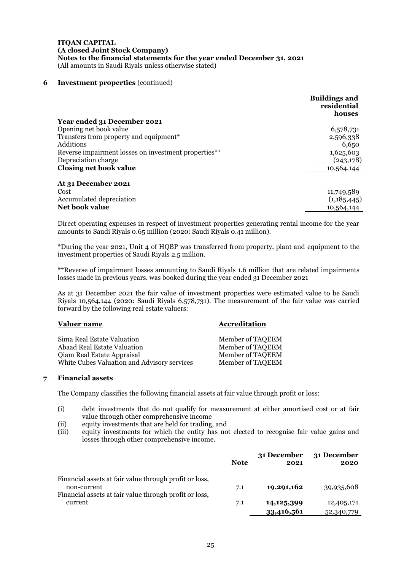# **6 Investment properties** (continued)

|                                                      | <b>Buildings and</b><br>residential<br>houses |
|------------------------------------------------------|-----------------------------------------------|
| Year ended 31 December 2021                          |                                               |
| Opening net book value                               | 6,578,731                                     |
| Transfers from property and equipment <sup>*</sup>   | 2,596,338                                     |
| Additions                                            | 6,650                                         |
| Reverse impairment losses on investment properties** | 1,625,603                                     |
| Depreciation charge                                  | (243, 178)                                    |
| <b>Closing net book value</b>                        | 10,564,144                                    |
| At 31 December 2021                                  |                                               |
| Cost                                                 | 11,749,589                                    |
| Accumulated depreciation                             | (1,185,445)                                   |
| Net book value                                       | 10,564,144                                    |

Direct operating expenses in respect of investment properties generating rental income for the year amounts to Saudi Riyals 0.65 million (2020: Saudi Riyals 0.41 million).

\*During the year 2021, Unit 4 of HQBP was transferred from property, plant and equipment to the investment properties of Saudi Riyals 2.5 million.

\*\*Reverse of impairment losses amounting to Saudi Riyals 1.6 million that are related impairments losses made in previous years. was booked during the year ended 31 December 2021

As at 31 December 2021 the fair value of investment properties were estimated value to be Saudi Riyals 10,564,144 (2020: Saudi Riyals 6,578,731). The measurement of the fair value was carried forward by the following real estate valuers:

# **Valuer name Accreditation**

Sima Real Estate Valuation Member of TAQEEM Abaad Real Estate Valuation Member of TAQEEM Qiam Real Estate Appraisal Member of TAQEEM White Cubes Valuation and Advisory services Member of TAQEEM

#### **7 Financial assets**

The Company classifies the following financial assets at fair value through profit or loss:

- (i) debt investments that do not qualify for measurement at either amortised cost or at fair value through other comprehensive income
- (ii) equity investments that are held for trading, and
- (iii) equity investments for which the entity has not elected to recognise fair value gains and losses through other comprehensive income.

|                                                                       | <b>Note</b> | 31 December<br>2021 | 31 December<br>2020 |
|-----------------------------------------------------------------------|-------------|---------------------|---------------------|
| Financial assets at fair value through profit or loss,<br>non-current | 7.1         | 19,291,162          | 39,935,608          |
| Financial assets at fair value through profit or loss,<br>current     | 7.1         | 14, 125, 399        | 12,405,171          |
|                                                                       |             | 33,416,561          | 52,340,779          |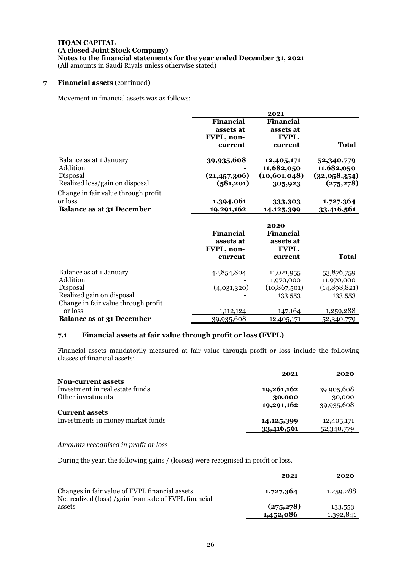# **7 Financial assets** (continued)

Movement in financial assets was as follows:

|                                     |                   | 2021           |              |
|-------------------------------------|-------------------|----------------|--------------|
|                                     | <b>Financial</b>  | Financial      |              |
|                                     | assets at         | assets at      |              |
|                                     | <b>FVPL, non-</b> | <b>FVPL,</b>   |              |
|                                     | current           | current        | <b>Total</b> |
| Balance as at 1 January             | 39,935,608        | 12,405,171     | 52,340,779   |
| Addition                            |                   | 11,682,050     | 11,682,050   |
| Disposal                            | (21, 457, 306)    | (10, 601, 048) | (32,058,354) |
| Realized loss/gain on disposal      | (581,201)         | 305,923        | (275, 278)   |
| Change in fair value through profit |                   |                |              |
| or loss                             | 1,394,061         | 333,303        | 1,727,364    |
| <b>Balance as at 31 December</b>    | 19,291,162        | 14,125,399     | 33,416,561   |
|                                     |                   |                |              |

| Financial<br>Financial<br>assets at<br>assets at<br><b>FVPL,</b><br><b>FVPL, non-</b><br>current<br>current | <b>Total</b>   |
|-------------------------------------------------------------------------------------------------------------|----------------|
| Balance as at 1 January<br>42,854,804<br>11,021,955                                                         | 53,876,759     |
| Addition<br>11,970,000                                                                                      | 11,970,000     |
| (10, 867, 501)<br>Disposal<br>(4,031,320)                                                                   | (14, 898, 821) |
| Realized gain on disposal<br>133,553<br>Change in fair value through profit                                 | 133,553        |
| or loss<br>147,164<br>1,112,124                                                                             | 1,259,288      |
| <b>Balance as at 31 December</b><br>39,935,608<br>12,405,171                                                | 52,340,779     |

# **7.1 Financial assets at fair value through profit or loss (FVPL)**

Financial assets mandatorily measured at fair value through profit or loss include the following classes of financial assets:

|                                   | 2021         | 2020       |
|-----------------------------------|--------------|------------|
| <b>Non-current assets</b>         |              |            |
| Investment in real estate funds   | 19,261,162   | 39,905,608 |
| Other investments                 | 30,000       | 30,000     |
|                                   | 19,291,162   | 39,935,608 |
| <b>Current assets</b>             |              |            |
| Investments in money market funds | 14, 125, 399 | 12,405,171 |
|                                   | 33,416,561   | 52,340,779 |

# *Amounts recognised in profit or loss*

During the year, the following gains / (losses) were recognised in profit or loss.

|                                                                                                         | 2021       | 2020      |
|---------------------------------------------------------------------------------------------------------|------------|-----------|
| Changes in fair value of FVPL financial assets<br>Net realized (loss) /gain from sale of FVPL financial | 1,727,364  | 1,259,288 |
| assets                                                                                                  | (275, 278) | 133,553   |
|                                                                                                         | 1,452,086  | 1,392,841 |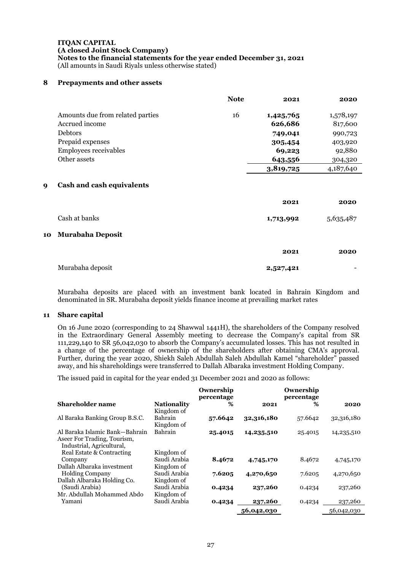# **8 Prepayments and other assets**

|                                  | <b>Note</b> | 2021      | 2020      |
|----------------------------------|-------------|-----------|-----------|
| Amounts due from related parties | 16          | 1,425,765 | 1,578,197 |
| Accrued income                   |             | 626,686   | 817,600   |
| <b>Debtors</b>                   |             | 749,041   | 990,723   |
| Prepaid expenses                 |             | 305,454   | 403,920   |
| Employees receivables            |             | 69,223    | 92,880    |
| Other assets                     |             | 643,556   | 304,320   |
|                                  |             | 3,819,725 | 4,187,640 |

#### **9 Cash and cash equivalents**

|                     | 2021      | 2020      |
|---------------------|-----------|-----------|
| Cash at banks       | 1,713,992 | 5,635,487 |
| 10 Murabaha Deposit |           |           |
|                     | 2021      | 2020      |
| Murabaha deposit    | 2,527,421 |           |

Murabaha deposits are placed with an investment bank located in Bahrain Kingdom and denominated in SR. Murabaha deposit yields finance income at prevailing market rates

#### **11 Share capital**

On 16 June 2020 (corresponding to 24 Shawwal 1441H), the shareholders of the Company resolved in the Extraordinary General Assembly meeting to decrease the Company's capital from SR 111,229,140 to SR 56,042,030 to absorb the Company's accumulated losses. This has not resulted in a change of the percentage of ownership of the shareholders after obtaining CMA's approval. Further, during the year 2020, Shiekh Saleh Abdullah Saleh Abdullah Kamel "shareholder" passed away, and his shareholdings were transferred to Dallah Albaraka investment Holding Company.

The issued paid in capital for the year ended 31 December 2021 and 2020 as follows:

|                                |                    | Ownership<br>percentage |            | Ownership<br>percentage |            |
|--------------------------------|--------------------|-------------------------|------------|-------------------------|------------|
| Shareholder name               | <b>Nationality</b> | %                       | 2021       | %                       | 2020       |
|                                | Kingdom of         |                         |            |                         |            |
| Al Baraka Banking Group B.S.C. | Bahrain            | 57.6642                 | 32,316,180 | 57.6642                 | 32,316,180 |
|                                | Kingdom of         |                         |            |                         |            |
| Al Baraka Islamic Bank—Bahrain | Bahrain            | 25.4015                 | 14,235,510 | 25.4015                 | 14,235,510 |
| Aseer For Trading, Tourism,    |                    |                         |            |                         |            |
| Industrial, Agricultural,      |                    |                         |            |                         |            |
| Real Estate & Contracting      | Kingdom of         |                         |            |                         |            |
| Company                        | Saudi Arabia       | 8.4672                  | 4,745,170  | 8.4672                  | 4,745,170  |
| Dallah Albaraka investment     | Kingdom of         |                         |            |                         |            |
| <b>Holding Company</b>         | Saudi Arabia       | 7.6205                  | 4,270,650  | 7.6205                  | 4,270,650  |
| Dallah Albaraka Holding Co.    | Kingdom of         |                         |            |                         |            |
| (Saudi Arabia)                 | Saudi Arabia       | 0.4234                  | 237,260    | 0.4234                  | 237,260    |
| Mr. Abdullah Mohammed Abdo     | Kingdom of         |                         |            |                         |            |
| Yamani                         | Saudi Arabia       | 0.4234                  | 237,260    | 0.4234                  | 237,260    |
|                                |                    |                         | 56,042,030 |                         | 56,042,030 |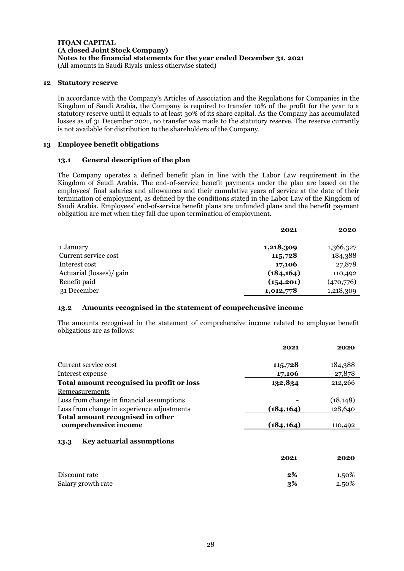#### **12 Statutory reserve**

In accordance with the Company's Articles of Association and the Regulations for Companies in the Kingdom of Saudi Arabia, the Company is required to transfer 10% of the profit for the year to a statutory reserve until it equals to at least 30% of its share capital. As the Company has accumulated losses as of 31 December 2021, no transfer was made to the statutory reserve. The reserve currently is not available for distribution to the shareholders of the Company.

# **13 Employee benefit obligations**

#### **13.1 General description of the plan**

The Company operates a defined benefit plan in line with the Labor Law requirement in the Kingdom of Saudi Arabia. The end-of-service benefit payments under the plan are based on the employees' final salaries and allowances and their cumulative years of service at the date of their termination of employment, as defined by the conditions stated in the Labor Law of the Kingdom of Saudi Arabia. Employees' end-of-service benefit plans are unfunded plans and the benefit payment obligation are met when they fall due upon termination of employment.

|                          | 2021       | 2020      |
|--------------------------|------------|-----------|
| 1 January                | 1,218,309  | 1,366,327 |
| Current service cost     | 115,728    | 184,388   |
| Interest cost            | 17,106     | 27,878    |
| Actuarial (losses)/ gain | (184, 164) | 110,492   |
| Benefit paid             | (154, 201) | (470,776) |
| 31 December              | 1,012,778  | 1,218,309 |

#### **13.2 Amounts recognised in the statement of comprehensive income**

The amounts recognised in the statement of comprehensive income related to employee benefit obligations are as follows:

|                                            | 2021       | 2020      |
|--------------------------------------------|------------|-----------|
| Current service cost                       | 115,728    | 184,388   |
| Interest expense                           | 17,106     | 27,878    |
| Total amount recognised in profit or loss  | 132,834    | 212,266   |
| Remeasurements                             |            |           |
| Loss from change in financial assumptions  |            | (18, 148) |
| Loss from change in experience adjustments | (184, 164) | 128,640   |
| Total amount recognised in other           |            |           |
| comprehensive income                       | (184, 164) | 110,492   |
| <b>Key actuarial assumptions</b><br>13.3   |            |           |
|                                            | 2021       | 2020      |
| Discount rate                              | $2\%$      | 1.50%     |
| Salary growth rate                         | $3\%$      | 2.50%     |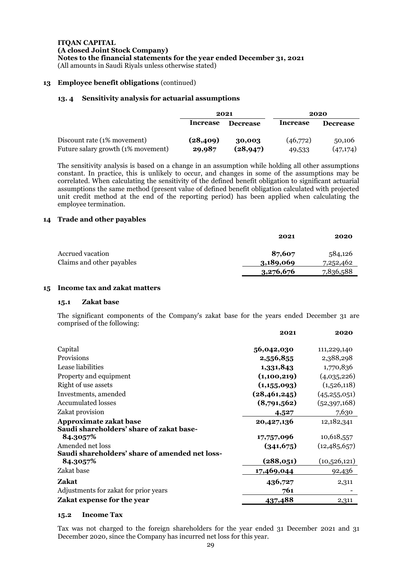#### **13 Employee benefit obligations** (continued)

#### **13. 4 Sensitivity analysis for actuarial assumptions**

| Increase<br><b>Decrease</b> | <b>Decrease</b>     |
|-----------------------------|---------------------|
|                             |                     |
| (46,772)<br>30,003          | 50,106<br>(47, 174) |
|                             | (28, 947)<br>49,533 |

The sensitivity analysis is based on a change in an assumption while holding all other assumptions constant. In practice, this is unlikely to occur, and changes in some of the assumptions may be correlated. When calculating the sensitivity of the defined benefit obligation to significant actuarial assumptions the same method (present value of defined benefit obligation calculated with projected unit credit method at the end of the reporting period) has been applied when calculating the employee termination.

# **14 Trade and other payables**

|                           | 2021      | 2020      |
|---------------------------|-----------|-----------|
| Accrued vacation          | 87,607    | 584,126   |
| Claims and other payables | 3,189,069 | 7,252,462 |
|                           | 3,276,676 | 7,836,588 |

# **15 Income tax and zakat matters**

#### **15.1 Zakat base**

The significant components of the Company's zakat base for the years ended December 31 are comprised of the following:

|                                                | 2021           | 2020           |
|------------------------------------------------|----------------|----------------|
| Capital                                        | 56,042,030     | 111,229,140    |
| <b>Provisions</b>                              | 2,556,855      | 2,388,298      |
| Lease liabilities                              | 1,331,843      | 1,770,836      |
| Property and equipment                         | (1,100,219)    | (4,035,226)    |
| Right of use assets                            | (1,155,093)    | (1,526,118)    |
| Investments, amended                           | (28, 461, 245) | (45, 255, 051) |
| <b>Accumulated losses</b>                      | (8,791,562)    | (52,397,168)   |
| Zakat provision                                | 4,527          | 7,630          |
| Approximate zakat base                         | 20,427,136     | 12,182,341     |
| Saudi shareholders' share of zakat base-       |                |                |
| 84.3057%                                       | 17,757,096     | 10,618,557     |
| Amended net loss                               | (341,675)      | (12, 485, 657) |
| Saudi shareholders' share of amended net loss- |                |                |
| 84.3057%                                       | (288,051)      | (10,526,121)   |
| Zakat base                                     | 17,469,044     | 92,436         |
| Zakat                                          | 436,727        | 2,311          |
| Adjustments for zakat for prior years          | 761            |                |
| Zakat expense for the year                     | 437,488        | 2,311          |

## **15.2 Income Tax**

Tax was not charged to the foreign shareholders for the year ended 31 December 2021 and 31 December 2020, since the Company has incurred net loss for this year.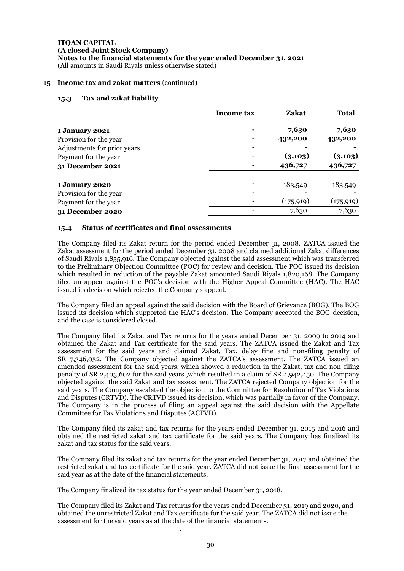# **15 Income tax and zakat matters** (continued)

# **15.3 Tax and zakat liability**

|                             | <b>Income tax</b> | <b>Zakat</b> | <b>Total</b> |
|-----------------------------|-------------------|--------------|--------------|
| 1 January 2021              |                   | 7,630        | 7,630        |
| Provision for the year      |                   | 432,200      | 432,200      |
| Adjustments for prior years |                   |              |              |
| Payment for the year        |                   | (3,103)      | (3,103)      |
| 31 December 2021            |                   | 436,727      | 436,727      |
| 1 January 2020              |                   | 183,549      | 183,549      |
| Provision for the year      |                   |              |              |
| Payment for the year        |                   | (175, 919)   | (175, 919)   |
| 31 December 2020            |                   | 7,630        | 7,630        |

#### **15.4 Status of certificates and final assessments**

The Company filed its Zakat return for the period ended December 31, 2008. ZATCA issued the Zakat assessment for the period ended December 31, 2008 and claimed additional Zakat differences of Saudi Riyals 1,855,916. The Company objected against the said assessment which was transferred to the Preliminary Objection Committee (POC) for review and decision. The POC issued its decision which resulted in reduction of the payable Zakat amounted Saudi Riyals 1,820,168. The Company filed an appeal against the POC's decision with the Higher Appeal Committee (HAC). The HAC issued its decision which rejected the Company's appeal.

The Company filed an appeal against the said decision with the Board of Grievance (BOG). The BOG issued its decision which supported the HAC's decision. The Company accepted the BOG decision, and the case is considered closed.

The Company filed its Zakat and Tax returns for the years ended December 31, 2009 to 2014 and obtained the Zakat and Tax certificate for the said years. The ZATCA issued the Zakat and Tax assessment for the said years and claimed Zakat, Tax, delay fine and non-filing penalty of SR 7,346,052. The Company objected against the ZATCA's assessment. The ZATCA issued an amended assessment for the said years, which showed a reduction in the Zakat, tax and non-filing penalty of SR 2,403,602 for the said years ,which resulted in a claim of SR 4,942,450. The Company objected against the said Zakat and tax assessment. The ZATCA rejected Company objection for the said years. The Company escalated the objection to the Committee for Resolution of Tax Violations and Disputes (CRTVD). The CRTVD issued its decision, which was partially in favor of the Company. The Company is in the process of filing an appeal against the said decision with the Appellate Committee for Tax Violations and Disputes (ACTVD).

The Company filed its zakat and tax returns for the years ended December 31, 2015 and 2016 and obtained the restricted zakat and tax certificate for the said years. The Company has finalized its zakat and tax status for the said years.

The Company filed its zakat and tax returns for the year ended December 31, 2017 and obtained the restricted zakat and tax certificate for the said year. ZATCA did not issue the final assessment for the said year as at the date of the financial statements.

.

The Company finalized its tax status for the year ended December 31, 2018.

.

The Company filed its Zakat and Tax returns for the years ended December 31, 2019 and 2020, and obtained the unrestricted Zakat and Tax certificate for the said year. The ZATCA did not issue the assessment for the said years as at the date of the financial statements.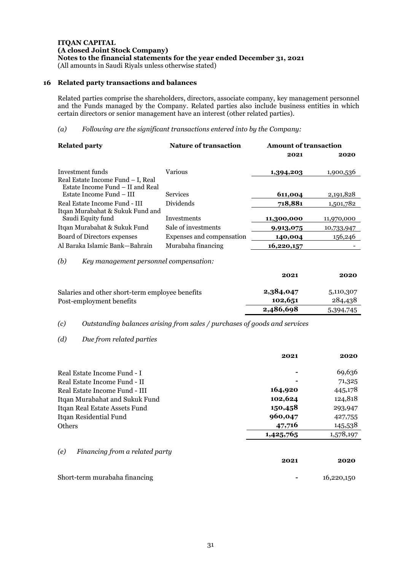# **16 Related party transactions and balances**

Related parties comprise the shareholders, directors, associate company, key management personnel and the Funds managed by the Company. Related parties also include business entities in which certain directors or senior management have an interest (other related parties).

# *(a) Following are the significant transactions entered into by the Company:*

| <b>Related party</b>                                         | <b>Nature of transaction</b> | <b>Amount of transaction</b> |            |
|--------------------------------------------------------------|------------------------------|------------------------------|------------|
|                                                              |                              | 2021                         | 2020       |
| Investment funds                                             | Various                      | 1,394,203                    | 1,900,536  |
| Real Estate Income Fund - I, Real                            |                              |                              |            |
| Estate Income Fund – II and Real<br>Estate Income Fund – III | <b>Services</b>              | 611,004                      | 2,191,828  |
| Real Estate Income Fund - III                                | Dividends                    | 718,881                      | 1,501,782  |
| Itgan Murabahat & Sukuk Fund and<br>Saudi Equity fund        | <b>Investments</b>           | 11,300,000                   | 11,970,000 |
| Itgan Murabahat & Sukuk Fund                                 | Sale of investments          | 9,913,075                    | 10,733,947 |
| Board of Directors expenses                                  | Expenses and compensation    | 140,004                      | 156,246    |
| Al Baraka Islamic Bank—Bahrain                               | Murabaha financing           | 16,220,157                   |            |
|                                                              |                              |                              |            |

*(b) Key management personnel compensation:*

|                                                 | 2021      | 2020      |
|-------------------------------------------------|-----------|-----------|
| Salaries and other short-term employee benefits | 2,384,047 | 5,110,307 |
| Post-employment benefits                        | 102,651   | 284,438   |
|                                                 | 2,486,698 | 5,394,745 |

*(c) Outstanding balances arising from sales / purchases of goods and services*

## *(d) Due from related parties*

|                                       | 2021      | 2020       |
|---------------------------------------|-----------|------------|
| Real Estate Income Fund - I           |           | 69,636     |
| Real Estate Income Fund - II          |           | 71,325     |
| Real Estate Income Fund - III         | 164,920   | 445,178    |
| Itgan Murabahat and Sukuk Fund        | 102,624   | 124,818    |
| Itgan Real Estate Assets Fund         | 150,458   | 293,947    |
| Itgan Residential Fund                | 960,047   | 427,755    |
| <b>Others</b>                         | 47,716    | 145,538    |
|                                       | 1,425,765 | 1,578,197  |
| (e)<br>Financing from a related party |           |            |
|                                       | 2021      | 2020       |
| Short-term murabaha financing         |           | 16,220,150 |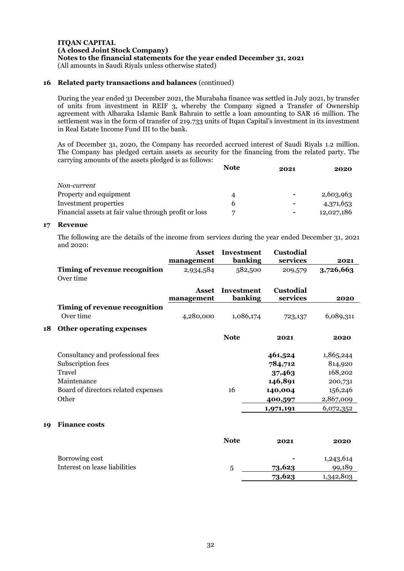# **16 Related party transactions and balances** (continued)

During the year ended 31 December 2021, the Murabaha finance was settled in July 2021, by transfer of units from investment in REIF 3, whereby the Company signed a Transfer of Ownership agreement with Albaraka Islamic Bank Bahrain to settle a loan amounting to SAR 16 million. The settlement was in the form of transfer of 219.733 units of Itqan Capital's investment in its investment in Real Estate Income Fund III to the bank.

As of December 31, 2020, the Company has recorded accrued interest of Saudi Riyals 1.2 million. The Company has pledged certain assets as security for the financing from the related party. The carrying amounts of the assets pledged is as follows:

|                                                       | <b>Note</b> | 2021 | 2020       |
|-------------------------------------------------------|-------------|------|------------|
| Non-current                                           |             |      |            |
| Property and equipment                                | 4           |      | 2,603,963  |
| Investment properties                                 | h           | -    | 4,371,653  |
| Financial assets at fair value through profit or loss |             | ۰    | 12,027,186 |

# **17 Revenue**

The following are the details of the income from services during the year ended December 31, 2021 and 2020:

|    |                                                                                                                                                         | <b>Asset</b><br>management | <b>Investment</b><br>banking | <b>Custodial</b><br>services                                               | 2021                                                                            |
|----|---------------------------------------------------------------------------------------------------------------------------------------------------------|----------------------------|------------------------------|----------------------------------------------------------------------------|---------------------------------------------------------------------------------|
|    | Timing of revenue recognition<br>Over time                                                                                                              | 2,934,584                  | 582,500                      | 209,579                                                                    | 3,726,663                                                                       |
|    |                                                                                                                                                         | <b>Asset</b><br>management | <b>Investment</b><br>banking | Custodial<br>services                                                      | 2020                                                                            |
|    | Timing of revenue recognition<br>Over time                                                                                                              | 4,280,000                  | 1,086,174                    | 723,137                                                                    | 6,089,311                                                                       |
| 18 | <b>Other operating expenses</b>                                                                                                                         |                            | <b>Note</b>                  | 2021                                                                       | 2020                                                                            |
| 19 | Consultancy and professional fees<br>Subscription fees<br>Travel<br>Maintenance<br>Board of directors related expenses<br>Other<br><b>Finance costs</b> |                            | 16                           | 461,524<br>784,712<br>37,463<br>146,891<br>140,004<br>400,597<br>1,971,191 | 1,865,244<br>814,920<br>168,202<br>200,731<br>156,246<br>2,867,009<br>6,072,352 |
|    |                                                                                                                                                         |                            | <b>Note</b>                  | 2021                                                                       | 2020                                                                            |
|    | Borrowing cost<br>Interest on lease liabilities                                                                                                         |                            | 5                            | 73,623<br>73,623                                                           | 1,243,614<br>99,189<br>1,342,803                                                |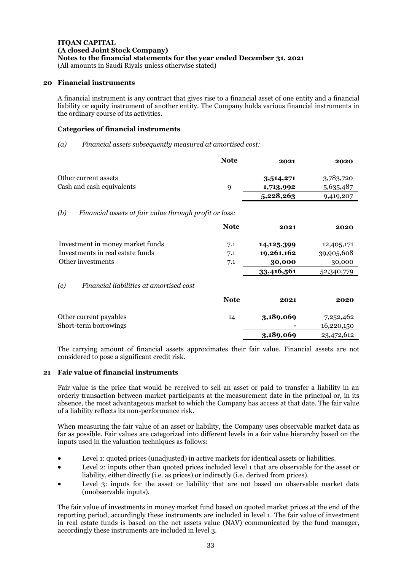# **20 Financial instruments**

A financial instrument is any contract that gives rise to a financial asset of one entity and a financial liability or equity instrument of another entity. The Company holds various financial instruments in the ordinary course of its activities.

# **Categories of financial instruments**

# *(a) Financial assets subsequently measured at amortised cost:*

| Other current assets<br>3,783,720<br>3,514,271<br>Cash and cash equivalents<br>5,635,487<br>9<br>1,713,992<br>5,228,263<br>(b)<br>Financial assets at fair value through profit or loss:<br><b>Note</b><br>2021<br>Investment in money market funds<br>7.1<br>14, 125, 399<br>Investments in real estate funds<br>19,261,162<br>7.1<br>Other investments<br>30,000<br>7.1<br>33,416,561<br>Financial liabilities at amortised cost |     | <b>Note</b> | 2021 | 2020       |
|------------------------------------------------------------------------------------------------------------------------------------------------------------------------------------------------------------------------------------------------------------------------------------------------------------------------------------------------------------------------------------------------------------------------------------|-----|-------------|------|------------|
|                                                                                                                                                                                                                                                                                                                                                                                                                                    |     |             |      |            |
|                                                                                                                                                                                                                                                                                                                                                                                                                                    |     |             |      |            |
|                                                                                                                                                                                                                                                                                                                                                                                                                                    |     |             |      | 9,419,207  |
|                                                                                                                                                                                                                                                                                                                                                                                                                                    |     |             |      |            |
|                                                                                                                                                                                                                                                                                                                                                                                                                                    |     |             |      | 2020       |
|                                                                                                                                                                                                                                                                                                                                                                                                                                    |     |             |      | 12,405,171 |
|                                                                                                                                                                                                                                                                                                                                                                                                                                    |     |             |      | 39,905,608 |
|                                                                                                                                                                                                                                                                                                                                                                                                                                    |     |             |      | 30,000     |
|                                                                                                                                                                                                                                                                                                                                                                                                                                    |     |             |      | 52,340,779 |
|                                                                                                                                                                                                                                                                                                                                                                                                                                    | (c) |             |      |            |
| <b>Note</b><br>2021                                                                                                                                                                                                                                                                                                                                                                                                                |     |             |      | 2020       |
| Other current payables<br>3,189,069<br>14                                                                                                                                                                                                                                                                                                                                                                                          |     |             |      | 7,252,462  |
| Short-term borrowings                                                                                                                                                                                                                                                                                                                                                                                                              |     |             |      | 16,220,150 |
| 3,189,069                                                                                                                                                                                                                                                                                                                                                                                                                          |     |             |      | 23,472,612 |

The carrying amount of financial assets approximates their fair value. Financial assets are not considered to pose a significant credit risk.

#### **21 Fair value of financial instruments**

Fair value is the price that would be received to sell an asset or paid to transfer a liability in an orderly transaction between market participants at the measurement date in the principal or, in its absence, the most advantageous market to which the Company has access at that date. The fair value of a liability reflects its non-performance risk.

When measuring the fair value of an asset or liability, the Company uses observable market data as far as possible. Fair values are categorized into different levels in a fair value hierarchy based on the inputs used in the valuation techniques as follows:

- Level 1: quoted prices (unadjusted) in active markets for identical assets or liabilities.
- Level 2: inputs other than quoted prices included level 1 that are observable for the asset or liability, either directly (i.e. as prices) or indirectly (i.e. derived from prices).
- Level 3: inputs for the asset or liability that are not based on observable market data (unobservable inputs).

The fair value of investments in money market fund based on quoted market prices at the end of the reporting period, accordingly these instruments are included in level 1. The fair value of investment in real estate funds is based on the net assets value (NAV) communicated by the fund manager, accordingly these instruments are included in level 3.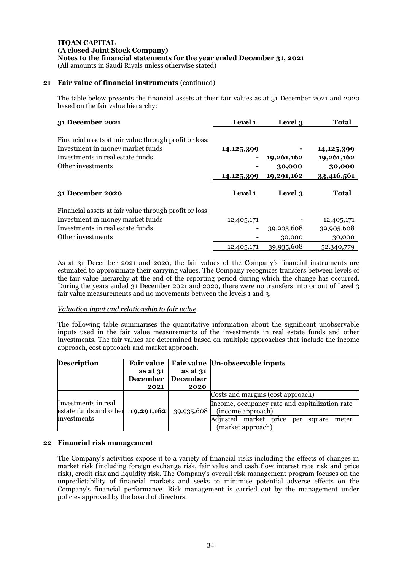# **21 Fair value of financial instruments** (continued)

The table below presents the financial assets at their fair values as at 31 December 2021 and 2020 based on the fair value hierarchy:

| 31 December 2021                                       | Level 1      | Level 3    | <b>Total</b> |
|--------------------------------------------------------|--------------|------------|--------------|
| Financial assets at fair value through profit or loss: |              |            |              |
| Investment in money market funds                       | 14, 125, 399 |            | 14, 125, 399 |
| Investments in real estate funds                       |              | 19,261,162 | 19,261,162   |
| Other investments                                      |              | 30,000     | 30,000       |
|                                                        | 14,125,399   | 19,291,162 | 33,416,561   |
| 31 December 2020                                       | Level 1      | Level 3    | <b>Total</b> |
| Financial assets at fair value through profit or loss: |              |            |              |
| Investment in money market funds                       | 12,405,171   |            | 12,405,171   |
| Investments in real estate funds                       |              | 39,905,608 | 39,905,608   |
| Other investments                                      |              | 30,000     | 30,000       |
|                                                        | 12,405,171   | 39,935,608 | 52,340,779   |

As at 31 December 2021 and 2020, the fair values of the Company's financial instruments are estimated to approximate their carrying values. The Company recognizes transfers between levels of the fair value hierarchy at the end of the reporting period during which the change has occurred. During the years ended 31 December 2021 and 2020, there were no transfers into or out of Level 3 fair value measurements and no movements between the levels 1 and 3.

#### *Valuation input and relationship to fair value*

The following table summarises the quantitative information about the significant unobservable inputs used in the fair value measurements of the investments in real estate funds and other investments. The fair values are determined based on multiple approaches that include the income approach, cost approach and market approach.

| <b>Description</b>     | <b>Fair value</b><br>as at $31$<br>December   December | as at $31$ | Fair value Un-observable inputs                |                                           |
|------------------------|--------------------------------------------------------|------------|------------------------------------------------|-------------------------------------------|
|                        | 2021                                                   | 2020       |                                                |                                           |
|                        |                                                        |            | Costs and margins (cost approach)              |                                           |
| Investments in real    |                                                        |            | Income, occupancy rate and capitalization rate |                                           |
| estate funds and other | 19,291,162                                             | 39,935,608 | (income approach)                              |                                           |
| <i>investments</i>     |                                                        |            |                                                | Adjusted market price per square<br>meter |
|                        |                                                        |            | (market approach)                              |                                           |

#### **22 Financial risk management**

The Company's activities expose it to a variety of financial risks including the effects of changes in market risk (including foreign exchange risk, fair value and cash flow interest rate risk and price risk), credit risk and liquidity risk. The Company's overall risk management program focuses on the unpredictability of financial markets and seeks to minimise potential adverse effects on the Company's financial performance. Risk management is carried out by the management under policies approved by the board of directors.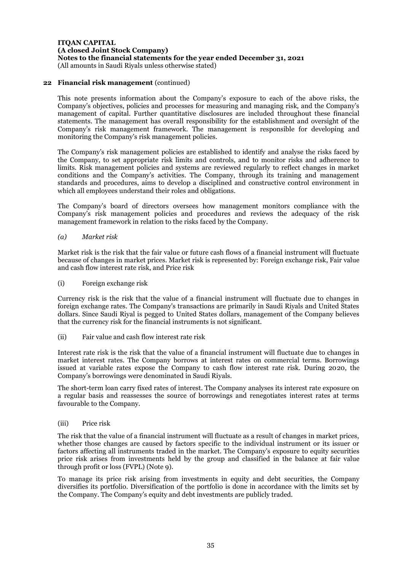# **22 Financial risk management** (continued)

This note presents information about the Company's exposure to each of the above risks, the Company's objectives, policies and processes for measuring and managing risk, and the Company's management of capital. Further quantitative disclosures are included throughout these financial statements. The management has overall responsibility for the establishment and oversight of the Company's risk management framework. The management is responsible for developing and monitoring the Company's risk management policies.

The Company's risk management policies are established to identify and analyse the risks faced by the Company, to set appropriate risk limits and controls, and to monitor risks and adherence to limits. Risk management policies and systems are reviewed regularly to reflect changes in market conditions and the Company's activities. The Company, through its training and management standards and procedures, aims to develop a disciplined and constructive control environment in which all employees understand their roles and obligations.

The Company's board of directors oversees how management monitors compliance with the Company's risk management policies and procedures and reviews the adequacy of the risk management framework in relation to the risks faced by the Company.

#### *(a) Market risk*

Market risk is the risk that the fair value or future cash flows of a financial instrument will fluctuate because of changes in market prices. Market risk is represented by: Foreign exchange risk, Fair value and cash flow interest rate risk, and Price risk

(i) Foreign exchange risk

Currency risk is the risk that the value of a financial instrument will fluctuate due to changes in foreign exchange rates. The Company's transactions are primarily in Saudi Riyals and United States dollars. Since Saudi Riyal is pegged to United States dollars, management of the Company believes that the currency risk for the financial instruments is not significant.

(ii) Fair value and cash flow interest rate risk

Interest rate risk is the risk that the value of a financial instrument will fluctuate due to changes in market interest rates. The Company borrows at interest rates on commercial terms. Borrowings issued at variable rates expose the Company to cash flow interest rate risk. During 2020, the Company's borrowings were denominated in Saudi Riyals.

The short-term loan carry fixed rates of interest. The Company analyses its interest rate exposure on a regular basis and reassesses the source of borrowings and renegotiates interest rates at terms favourable to the Company.

#### (iii) Price risk

The risk that the value of a financial instrument will fluctuate as a result of changes in market prices, whether those changes are caused by factors specific to the individual instrument or its issuer or factors affecting all instruments traded in the market. The Company's exposure to equity securities price risk arises from investments held by the group and classified in the balance at fair value through profit or loss (FVPL) (Note 9).

To manage its price risk arising from investments in equity and debt securities, the Company diversifies its portfolio. Diversification of the portfolio is done in accordance with the limits set by the Company. The Company's equity and debt investments are publicly traded.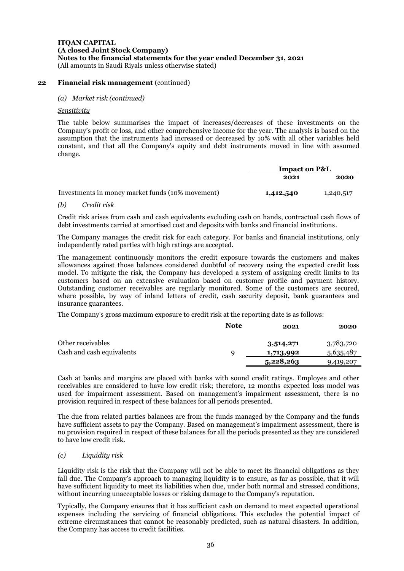#### **22 Financial risk management** (continued)

# *(a) Market risk (continued)*

#### *Sensitivity*

The table below summarises the impact of increases/decreases of these investments on the Company's profit or loss, and other comprehensive income for the year. The analysis is based on the assumption that the instruments had increased or decreased by 10% with all other variables held constant, and that all the Company's equity and debt instruments moved in line with assumed change.

|                                                  | <b>Impact on P&amp;L</b> |           |
|--------------------------------------------------|--------------------------|-----------|
|                                                  | 2021                     | 2020      |
| Investments in money market funds (10% movement) | 1,412,540                | 1,240,517 |

# *(b) Credit risk*

Credit risk arises from cash and cash equivalents excluding cash on hands, contractual cash flows of debt investments carried at amortised cost and deposits with banks and financial institutions.

The Company manages the credit risk for each category. For banks and financial institutions, only independently rated parties with high ratings are accepted.

The management continuously monitors the credit exposure towards the customers and makes allowances against those balances considered doubtful of recovery using the expected credit loss model. To mitigate the risk, the Company has developed a system of assigning credit limits to its customers based on an extensive evaluation based on customer profile and payment history. Outstanding customer receivables are regularly monitored. Some of the customers are secured, where possible, by way of inland letters of credit, cash security deposit, bank guarantees and insurance guarantees.

The Company's gross maximum exposure to credit risk at the reporting date is as follows:

|                                                | <b>Note</b> | 2021                   | 2020                   |
|------------------------------------------------|-------------|------------------------|------------------------|
| Other receivables<br>Cash and cash equivalents |             | 3,514,271<br>1,713,992 | 3,783,720<br>5,635,487 |
|                                                |             | 5,228,263              | 9,419,207              |
|                                                |             |                        |                        |

Cash at banks and margins are placed with banks with sound credit ratings. Employee and other receivables are considered to have low credit risk; therefore, 12 months expected loss model was used for impairment assessment. Based on management's impairment assessment, there is no provision required in respect of these balances for all periods presented.

The due from related parties balances are from the funds managed by the Company and the funds have sufficient assets to pay the Company. Based on management's impairment assessment, there is no provision required in respect of these balances for all the periods presented as they are considered to have low credit risk.

# *(c) Liquidity risk*

Liquidity risk is the risk that the Company will not be able to meet its financial obligations as they fall due. The Company's approach to managing liquidity is to ensure, as far as possible, that it will have sufficient liquidity to meet its liabilities when due, under both normal and stressed conditions, without incurring unacceptable losses or risking damage to the Company's reputation.

Typically, the Company ensures that it has sufficient cash on demand to meet expected operational expenses including the servicing of financial obligations. This excludes the potential impact of extreme circumstances that cannot be reasonably predicted, such as natural disasters. In addition, the Company has access to credit facilities.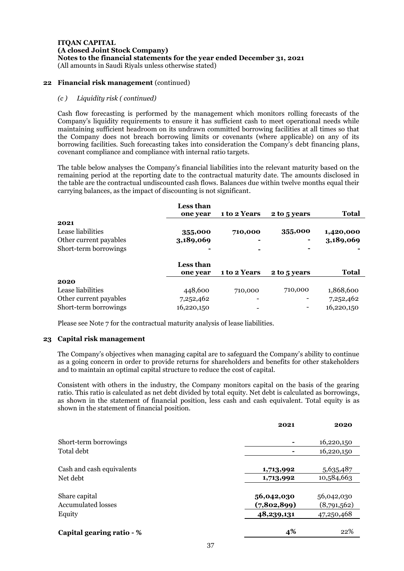#### **22 Financial risk management** (continued)

# *(c ) Liquidity risk ( continued)*

Cash flow forecasting is performed by the management which monitors rolling forecasts of the Company's liquidity requirements to ensure it has sufficient cash to meet operational needs while maintaining sufficient headroom on its undrawn committed borrowing facilities at all times so that the Company does not breach borrowing limits or covenants (where applicable) on any of its borrowing facilities. Such forecasting takes into consideration the Company's debt financing plans, covenant compliance and compliance with internal ratio targets.

The table below analyses the Company's financial liabilities into the relevant maturity based on the remaining period at the reporting date to the contractual maturity date. The amounts disclosed in the table are the contractual undiscounted cash flows. Balances due within twelve months equal their carrying balances, as the impact of discounting is not significant.

|                        | Less than<br>one year | 1 to 2 Years | 2 to 5 years | <b>Total</b> |
|------------------------|-----------------------|--------------|--------------|--------------|
| 2021                   |                       |              |              |              |
| Lease liabilities      | 355,000               | 710,000      | 355,000      | 1,420,000    |
| Other current payables | 3,189,069             |              |              | 3,189,069    |
| Short-term borrowings  |                       |              |              |              |
|                        |                       |              |              |              |
|                        | <b>Less than</b>      |              |              |              |
|                        | one year              | 1 to 2 Years | 2 to 5 years | <b>Total</b> |
| 2020                   |                       |              |              |              |
| Lease liabilities      | 448,600               | 710,000      | 710,000      | 1,868,600    |
| Other current payables | 7,252,462             |              |              | 7,252,462    |

Please see Note 7 for the contractual maturity analysis of lease liabilities.

#### **23 Capital risk management**

The Company's objectives when managing capital are to safeguard the Company's ability to continue as a going concern in order to provide returns for shareholders and benefits for other stakeholders and to maintain an optimal capital structure to reduce the cost of capital.

Consistent with others in the industry, the Company monitors capital on the basis of the gearing ratio. This ratio is calculated as net debt divided by total equity. Net debt is calculated as borrowings, as shown in the statement of financial position, less cash and cash equivalent. Total equity is as shown in the statement of financial position.

|                           | 2021        | 2020        |
|---------------------------|-------------|-------------|
| Short-term borrowings     |             | 16,220,150  |
| Total debt                |             | 16,220,150  |
|                           |             |             |
| Cash and cash equivalents | 1,713,992   | 5,635,487   |
| Net debt                  | 1,713,992   | 10,584,663  |
|                           |             |             |
| Share capital             | 56,042,030  | 56,042,030  |
| Accumulated losses        | (7,802,899) | (8,791,562) |
| Equity                    | 48,239,131  | 47,250,468  |
|                           |             |             |
| Capital gearing ratio - % | 4%          | 22%         |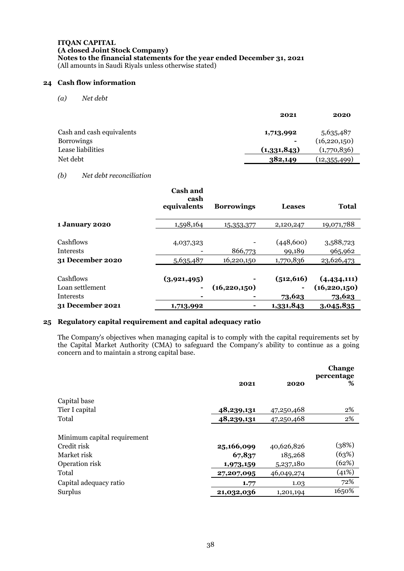# **24 Cash flow information**

*(a) Net debt*

|                           | 2021        | 2020         |
|---------------------------|-------------|--------------|
| Cash and cash equivalents | 1,713,992   | 5,635,487    |
| <b>Borrowings</b>         | ٠           | (16,220,150) |
| Lease liabilities         | (1,331,843) | (1,770,836)  |
| Net debt                  | 382,149     | (12,355,499) |

# *(b) Net debt reconciliation*

|                                           | <b>Cash and</b><br>cash<br>equivalents | <b>Borrowings</b> | <b>Leases</b>             | <b>Total</b>                            |
|-------------------------------------------|----------------------------------------|-------------------|---------------------------|-----------------------------------------|
| 1 January 2020                            | 1,598,164                              | 15,353,377        | 2,120,247                 | 19,071,788                              |
| Cashflows<br>Interests                    | 4,037,323                              | 866,773           | (448,600)<br>99,189       | 3,588,723<br>965,962                    |
| 31 December 2020                          | 5,635,487                              | 16,220,150        | 1,770,836                 | 23,626,473                              |
| Cashflows<br>Loan settlement<br>Interests | (3,921,495)<br>۰                       | (16, 220, 150)    | (512, 616)<br>-<br>73,623 | (4,434,111)<br>(16, 220, 150)<br>73,623 |
| 31 December 2021                          | 1,713,992                              |                   | 1,331,843                 | 3,045,835                               |

#### **25 Regulatory capital requirement and capital adequacy ratio**

The Company's objectives when managing capital is to comply with the capital requirements set by the Capital Market Authority (CMA) to safeguard the Company's ability to continue as a going concern and to maintain a strong capital base.

|                             | 2021       | 2020       | Change<br>percentage<br>% |
|-----------------------------|------------|------------|---------------------------|
|                             |            |            |                           |
| Capital base                |            |            |                           |
| Tier I capital              | 48,239,131 | 47,250,468 | 2%                        |
| Total                       | 48,239,131 | 47,250,468 | 2%                        |
| Minimum capital requirement |            |            |                           |
| Credit risk                 | 25,166,099 | 40,626,826 | (38%)                     |
| Market risk                 | 67,837     | 185,268    | (63%)                     |
| Operation risk              | 1,973,159  | 5,237,180  | (62%)                     |
| Total                       | 27,207,095 | 46,049,274 | (41%)                     |
| Capital adequacy ratio      | 1.77       | 1.03       | 72%                       |
| Surplus                     | 21,032,036 | 1,201,194  | 1650%                     |